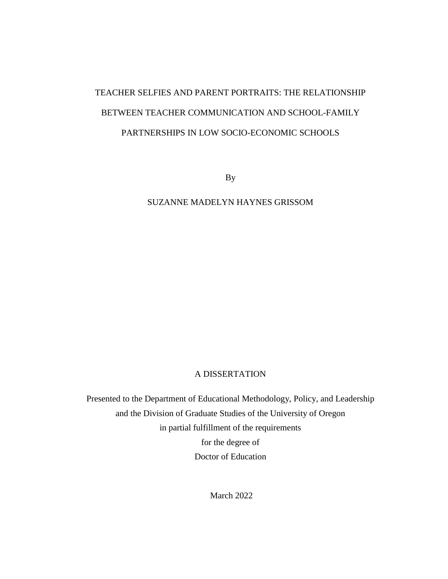# TEACHER SELFIES AND PARENT PORTRAITS: THE RELATIONSHIP BETWEEN TEACHER COMMUNICATION AND SCHOOL-FAMILY PARTNERSHIPS IN LOW SOCIO-ECONOMIC SCHOOLS

By

# SUZANNE MADELYN HAYNES GRISSOM

# A DISSERTATION

Presented to the Department of Educational Methodology, Policy, and Leadership and the Division of Graduate Studies of the University of Oregon in partial fulfillment of the requirements for the degree of Doctor of Education

March 2022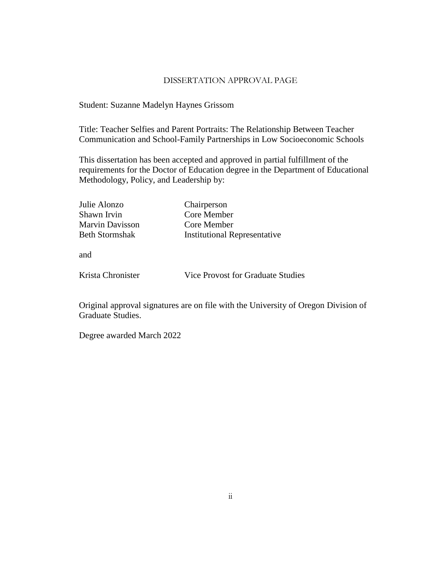#### DISSERTATION APPROVAL PAGE

Student: Suzanne Madelyn Haynes Grissom

Title: Teacher Selfies and Parent Portraits: The Relationship Between Teacher Communication and School-Family Partnerships in Low Socioeconomic Schools

This dissertation has been accepted and approved in partial fulfillment of the requirements for the Doctor of Education degree in the Department of Educational Methodology, Policy, and Leadership by:

| Julie Alonzo          | Chairperson                         |
|-----------------------|-------------------------------------|
| Shawn Irvin           | Core Member                         |
| Marvin Davisson       | Core Member                         |
| <b>Beth Stormshak</b> | <b>Institutional Representative</b> |

and

Krista Chronister

Vice Provost for Graduate Studies

Original approval signatures are on file with the University of Oregon Division of Graduate Studies.

Degree awarded March 2022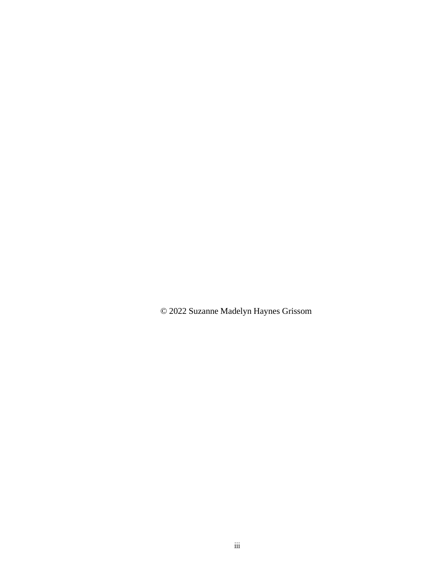© 2022 Suzanne Madelyn Haynes Grissom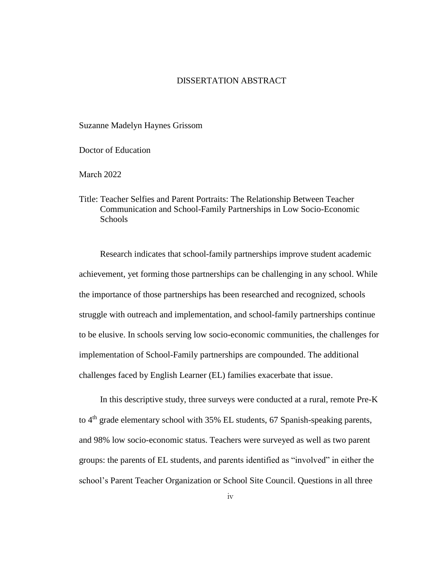# DISSERTATION ABSTRACT

Suzanne Madelyn Haynes Grissom

Doctor of Education

March 2022

Title: Teacher Selfies and Parent Portraits: The Relationship Between Teacher Communication and School-Family Partnerships in Low Socio-Economic **Schools** 

Research indicates that school-family partnerships improve student academic achievement, yet forming those partnerships can be challenging in any school. While the importance of those partnerships has been researched and recognized, schools struggle with outreach and implementation, and school-family partnerships continue to be elusive. In schools serving low socio-economic communities, the challenges for implementation of School-Family partnerships are compounded. The additional challenges faced by English Learner (EL) families exacerbate that issue.

In this descriptive study, three surveys were conducted at a rural, remote Pre-K to  $4<sup>th</sup>$  grade elementary school with 35% EL students, 67 Spanish-speaking parents, and 98% low socio-economic status. Teachers were surveyed as well as two parent groups: the parents of EL students, and parents identified as "involved" in either the school's Parent Teacher Organization or School Site Council. Questions in all three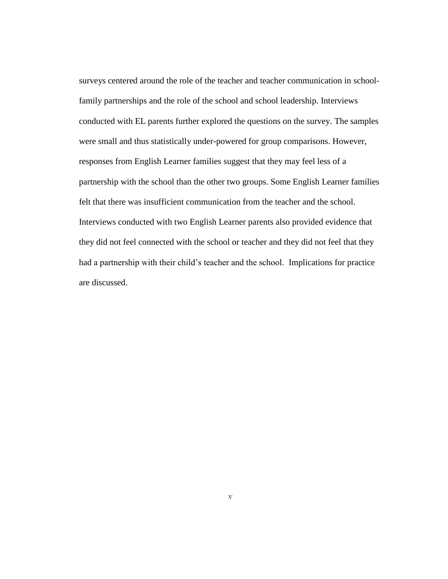surveys centered around the role of the teacher and teacher communication in schoolfamily partnerships and the role of the school and school leadership. Interviews conducted with EL parents further explored the questions on the survey. The samples were small and thus statistically under-powered for group comparisons. However, responses from English Learner families suggest that they may feel less of a partnership with the school than the other two groups. Some English Learner families felt that there was insufficient communication from the teacher and the school. Interviews conducted with two English Learner parents also provided evidence that they did not feel connected with the school or teacher and they did not feel that they had a partnership with their child's teacher and the school. Implications for practice are discussed.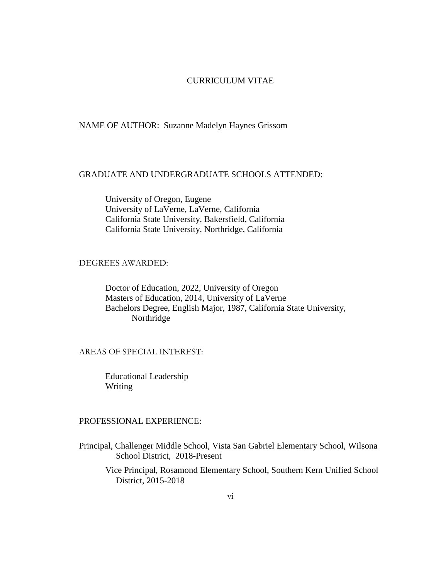# CURRICULUM VITAE

#### NAME OF AUTHOR: Suzanne Madelyn Haynes Grissom

# GRADUATE AND UNDERGRADUATE SCHOOLS ATTENDED:

University of Oregon, Eugene University of LaVerne, LaVerne, California California State University, Bakersfield, California California State University, Northridge, California

## DEGREES AWARDED:

Doctor of Education, 2022, University of Oregon Masters of Education, 2014, University of LaVerne Bachelors Degree, English Major, 1987, California State University, Northridge

#### AREAS OF SPECIAL INTEREST:

Educational Leadership Writing

#### PROFESSIONAL EXPERIENCE:

Principal, Challenger Middle School, Vista San Gabriel Elementary School, Wilsona School District, 2018-Present

Vice Principal, Rosamond Elementary School, Southern Kern Unified School District, 2015-2018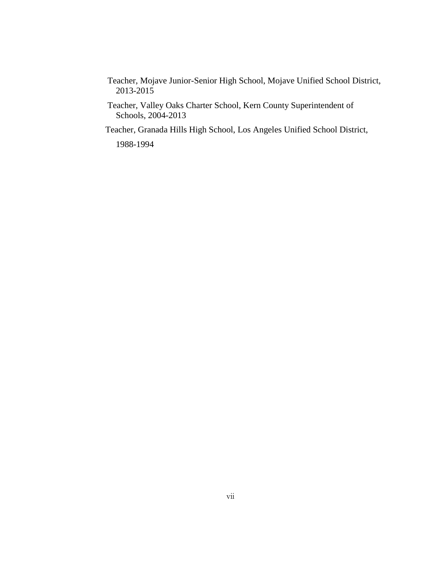- Teacher, Mojave Junior-Senior High School, Mojave Unified School District, 2013-2015
- Teacher, Valley Oaks Charter School, Kern County Superintendent of Schools, 2004-2013

Teacher, Granada Hills High School, Los Angeles Unified School District,

1988-1994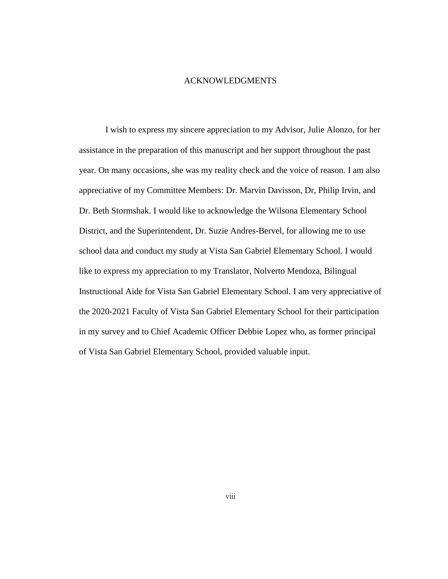#### ACKNOWLEDGMENTS

I wish to express my sincere appreciation to my Advisor, Julie Alonzo, for her assistance in the preparation of this manuscript and her support throughout the past year. On many occasions, she was my reality check and the voice of reason. I am also appreciative of my Committee Members: Dr. Marvin Davisson, Dr, Philip Irvin, and Dr. Beth Stormshak. I would like to acknowledge the Wilsona Elementary School District, and the Superintendent, Dr. Suzie Andres-Bervel, for allowing me to use school data and conduct my study at Vista San Gabriel Elementary School. I would like to express my appreciation to my Translator, Nolverto Mendoza, Bilingual Instructional Aide for Vista San Gabriel Elementary School. I am very appreciative of the 2020-2021 Faculty of Vista San Gabriel Elementary School for their participation in my survey and to Chief Academic Officer Debbie Lopez who, as former principal of Vista San Gabriel Elementary School, provided valuable input.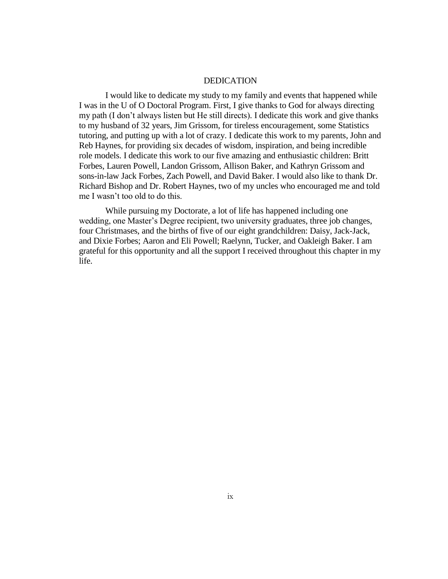#### DEDICATION

I would like to dedicate my study to my family and events that happened while I was in the U of O Doctoral Program. First, I give thanks to God for always directing my path (I don't always listen but He still directs). I dedicate this work and give thanks to my husband of 32 years, Jim Grissom, for tireless encouragement, some Statistics tutoring, and putting up with a lot of crazy. I dedicate this work to my parents, John and Reb Haynes, for providing six decades of wisdom, inspiration, and being incredible role models. I dedicate this work to our five amazing and enthusiastic children: Britt Forbes, Lauren Powell, Landon Grissom, Allison Baker, and Kathryn Grissom and sons-in-law Jack Forbes, Zach Powell, and David Baker. I would also like to thank Dr. Richard Bishop and Dr. Robert Haynes, two of my uncles who encouraged me and told me I wasn't too old to do this.

While pursuing my Doctorate, a lot of life has happened including one wedding, one Master's Degree recipient, two university graduates, three job changes, four Christmases, and the births of five of our eight grandchildren: Daisy, Jack-Jack, and Dixie Forbes; Aaron and Eli Powell; Raelynn, Tucker, and Oakleigh Baker. I am grateful for this opportunity and all the support I received throughout this chapter in my life.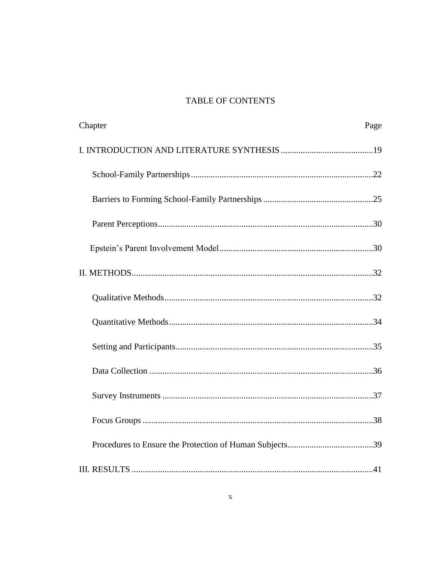# **TABLE OF CONTENTS**

| Chapter | Page |
|---------|------|
|         |      |
|         |      |
|         |      |
|         |      |
|         |      |
|         |      |
|         |      |
|         |      |
|         |      |
|         |      |
|         |      |
|         |      |
|         |      |
|         |      |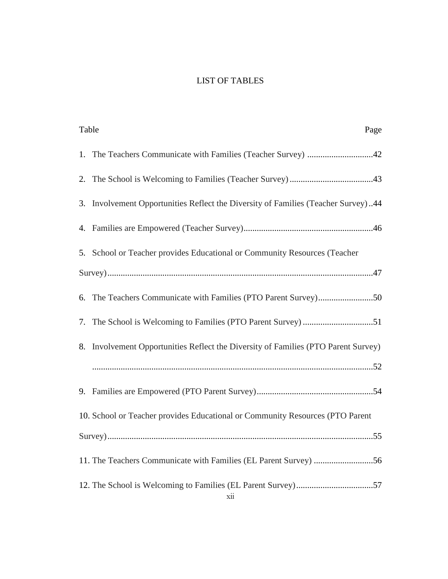# LIST OF TABLES

| Table<br>Page                                                                      |
|------------------------------------------------------------------------------------|
| 1. The Teachers Communicate with Families (Teacher Survey) 42                      |
|                                                                                    |
| 3. Involvement Opportunities Reflect the Diversity of Families (Teacher Survey)44  |
|                                                                                    |
| 5. School or Teacher provides Educational or Community Resources (Teacher          |
|                                                                                    |
| 6. The Teachers Communicate with Families (PTO Parent Survey)50                    |
|                                                                                    |
| 8. Involvement Opportunities Reflect the Diversity of Families (PTO Parent Survey) |
|                                                                                    |
|                                                                                    |
| 10. School or Teacher provides Educational or Community Resources (PTO Parent      |
|                                                                                    |
|                                                                                    |
|                                                                                    |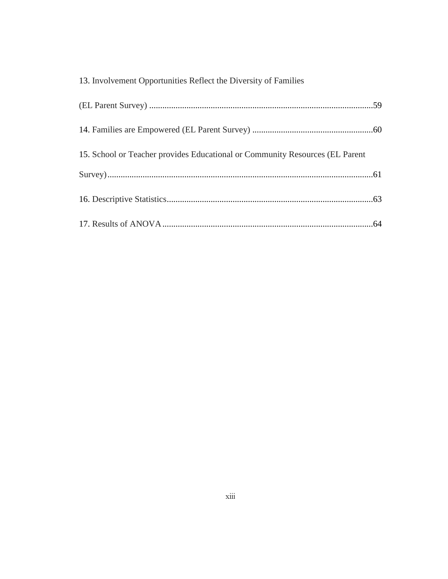| 13. Involvement Opportunities Reflect the Diversity of Families              |  |
|------------------------------------------------------------------------------|--|
|                                                                              |  |
|                                                                              |  |
| 15. School or Teacher provides Educational or Community Resources (EL Parent |  |
|                                                                              |  |
|                                                                              |  |
|                                                                              |  |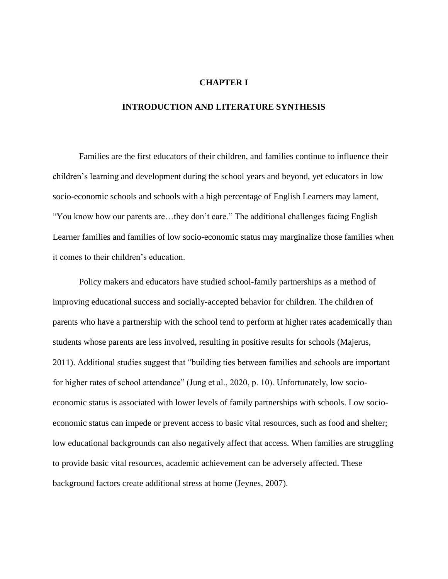#### **CHAPTER I**

#### **INTRODUCTION AND LITERATURE SYNTHESIS**

Families are the first educators of their children, and families continue to influence their children's learning and development during the school years and beyond, yet educators in low socio-economic schools and schools with a high percentage of English Learners may lament, "You know how our parents are…they don't care." The additional challenges facing English Learner families and families of low socio-economic status may marginalize those families when it comes to their children's education.

Policy makers and educators have studied school-family partnerships as a method of improving educational success and socially-accepted behavior for children. The children of parents who have a partnership with the school tend to perform at higher rates academically than students whose parents are less involved, resulting in positive results for schools (Majerus, 2011). Additional studies suggest that "building ties between families and schools are important for higher rates of school attendance" (Jung et al., 2020, p. 10). Unfortunately, low socioeconomic status is associated with lower levels of family partnerships with schools. Low socioeconomic status can impede or prevent access to basic vital resources, such as food and shelter; low educational backgrounds can also negatively affect that access. When families are struggling to provide basic vital resources, academic achievement can be adversely affected. These background factors create additional stress at home (Jeynes, 2007).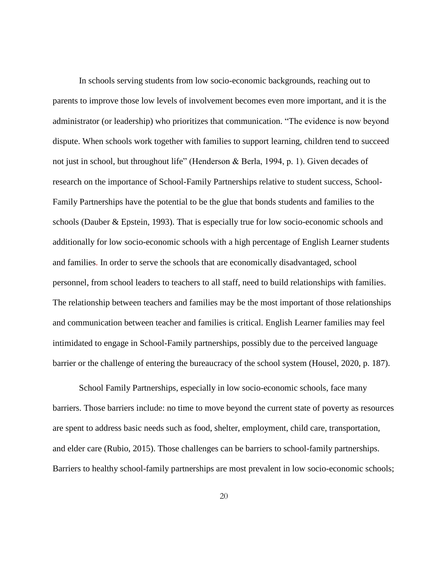In schools serving students from low socio-economic backgrounds, reaching out to parents to improve those low levels of involvement becomes even more important, and it is the administrator (or leadership) who prioritizes that communication. "The evidence is now beyond dispute. When schools work together with families to support learning, children tend to succeed not just in school, but throughout life" (Henderson & Berla, 1994, p. 1). Given decades of research on the importance of School-Family Partnerships relative to student success, School-Family Partnerships have the potential to be the glue that bonds students and families to the schools (Dauber & Epstein, 1993). That is especially true for low socio-economic schools and additionally for low socio-economic schools with a high percentage of English Learner students and families. In order to serve the schools that are economically disadvantaged, school personnel, from school leaders to teachers to all staff, need to build relationships with families. The relationship between teachers and families may be the most important of those relationships and communication between teacher and families is critical. English Learner families may feel intimidated to engage in School-Family partnerships, possibly due to the perceived language barrier or the challenge of entering the bureaucracy of the school system (Housel, 2020, p. 187).

School Family Partnerships, especially in low socio-economic schools, face many barriers. Those barriers include: no time to move beyond the current state of poverty as resources are spent to address basic needs such as food, shelter, employment, child care, transportation, and elder care (Rubio, 2015). Those challenges can be barriers to school-family partnerships. Barriers to healthy school-family partnerships are most prevalent in low socio-economic schools;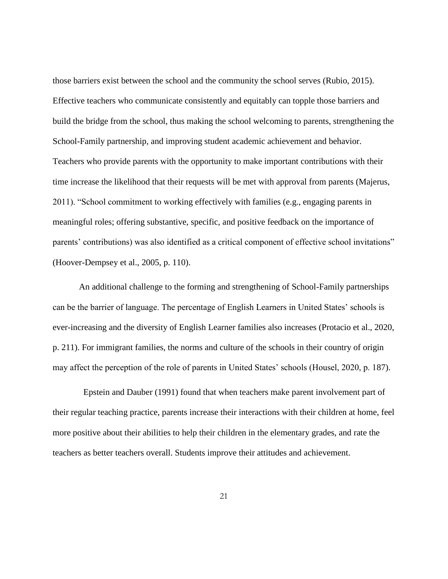those barriers exist between the school and the community the school serves (Rubio, 2015). Effective teachers who communicate consistently and equitably can topple those barriers and build the bridge from the school, thus making the school welcoming to parents, strengthening the School-Family partnership, and improving student academic achievement and behavior. Teachers who provide parents with the opportunity to make important contributions with their time increase the likelihood that their requests will be met with approval from parents (Majerus, 2011). "School commitment to working effectively with families (e.g., engaging parents in meaningful roles; offering substantive, specific, and positive feedback on the importance of parents' contributions) was also identified as a critical component of effective school invitations" (Hoover-Dempsey et al., 2005, p. 110).

An additional challenge to the forming and strengthening of School-Family partnerships can be the barrier of language. The percentage of English Learners in United States' schools is ever-increasing and the diversity of English Learner families also increases (Protacio et al., 2020, p. 211). For immigrant families, the norms and culture of the schools in their country of origin may affect the perception of the role of parents in United States' schools (Housel, 2020, p. 187).

Epstein and Dauber (1991) found that when teachers make parent involvement part of their regular teaching practice, parents increase their interactions with their children at home, feel more positive about their abilities to help their children in the elementary grades, and rate the teachers as better teachers overall. Students improve their attitudes and achievement.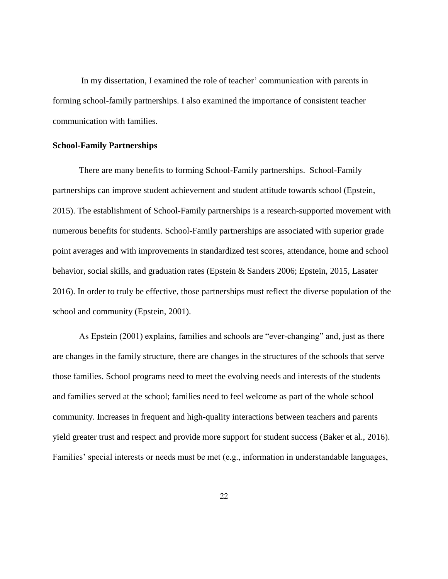In my dissertation, I examined the role of teacher' communication with parents in forming school-family partnerships. I also examined the importance of consistent teacher communication with families.

#### **School-Family Partnerships**

There are many benefits to forming School-Family partnerships. School-Family partnerships can improve student achievement and student attitude towards school (Epstein, 2015). The establishment of School-Family partnerships is a research-supported movement with numerous benefits for students. School-Family partnerships are associated with superior grade point averages and with improvements in standardized test scores, attendance, home and school behavior, social skills, and graduation rates (Epstein & Sanders 2006; Epstein, 2015, Lasater 2016). In order to truly be effective, those partnerships must reflect the diverse population of the school and community (Epstein, 2001).

As Epstein (2001) explains, families and schools are "ever-changing" and, just as there are changes in the family structure, there are changes in the structures of the schools that serve those families. School programs need to meet the evolving needs and interests of the students and families served at the school; families need to feel welcome as part of the whole school community. Increases in frequent and high-quality interactions between teachers and parents yield greater trust and respect and provide more support for student success (Baker et al., 2016). Families' special interests or needs must be met (e.g., information in understandable languages,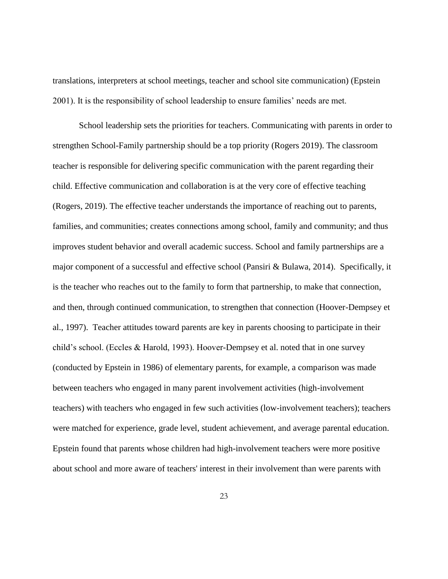translations, interpreters at school meetings, teacher and school site communication) (Epstein 2001). It is the responsibility of school leadership to ensure families' needs are met.

School leadership sets the priorities for teachers. Communicating with parents in order to strengthen School-Family partnership should be a top priority (Rogers 2019). The classroom teacher is responsible for delivering specific communication with the parent regarding their child. Effective communication and collaboration is at the very core of effective teaching (Rogers, 2019). The effective teacher understands the importance of reaching out to parents, families, and communities; creates connections among school, family and community; and thus improves student behavior and overall academic success. School and family partnerships are a major component of a successful and effective school (Pansiri & Bulawa, 2014). Specifically, it is the teacher who reaches out to the family to form that partnership, to make that connection, and then, through continued communication, to strengthen that connection (Hoover-Dempsey et al., 1997). Teacher attitudes toward parents are key in parents choosing to participate in their child's school. (Eccles & Harold, 1993). Hoover-Dempsey et al. noted that in one survey (conducted by Epstein in 1986) of elementary parents, for example, a comparison was made between teachers who engaged in many parent involvement activities (high-involvement teachers) with teachers who engaged in few such activities (low-involvement teachers); teachers were matched for experience, grade level, student achievement, and average parental education. Epstein found that parents whose children had high-involvement teachers were more positive about school and more aware of teachers' interest in their involvement than were parents with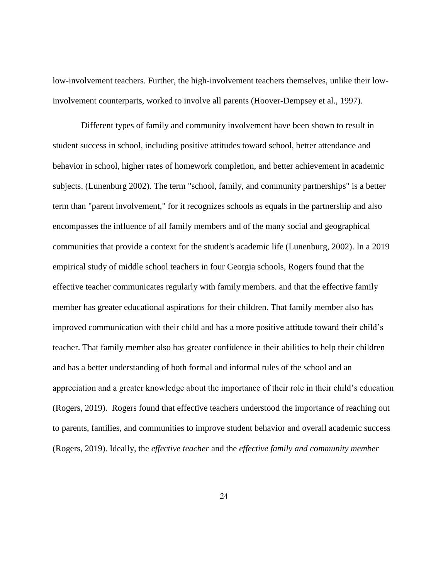low-involvement teachers. Further, the high-involvement teachers themselves, unlike their lowinvolvement counterparts, worked to involve all parents (Hoover-Dempsey et al., 1997).

Different types of family and community involvement have been shown to result in student success in school, including positive attitudes toward school, better attendance and behavior in school, higher rates of homework completion, and better achievement in academic subjects. (Lunenburg 2002). The term "school, family, and community partnerships" is a better term than "parent involvement," for it recognizes schools as equals in the partnership and also encompasses the influence of all family members and of the many social and geographical communities that provide a context for the student's academic life (Lunenburg, 2002). In a 2019 empirical study of middle school teachers in four Georgia schools, Rogers found that the effective teacher communicates regularly with family members. and that the effective family member has greater educational aspirations for their children. That family member also has improved communication with their child and has a more positive attitude toward their child's teacher. That family member also has greater confidence in their abilities to help their children and has a better understanding of both formal and informal rules of the school and an appreciation and a greater knowledge about the importance of their role in their child's education (Rogers, 2019). Rogers found that effective teachers understood the importance of reaching out to parents, families, and communities to improve student behavior and overall academic success (Rogers, 2019). Ideally, the *effective teacher* and the *effective family and community member*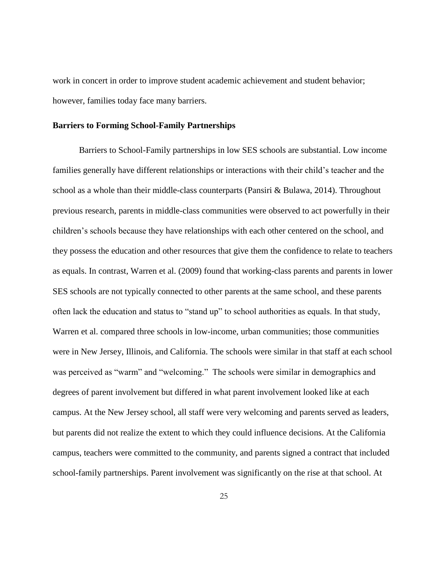work in concert in order to improve student academic achievement and student behavior; however, families today face many barriers.

#### **Barriers to Forming School-Family Partnerships**

Barriers to School-Family partnerships in low SES schools are substantial. Low income families generally have different relationships or interactions with their child's teacher and the school as a whole than their middle-class counterparts (Pansiri & Bulawa, 2014). Throughout previous research, parents in middle-class communities were observed to act powerfully in their children's schools because they have relationships with each other centered on the school, and they possess the education and other resources that give them the confidence to relate to teachers as equals. In contrast, Warren et al. (2009) found that working-class parents and parents in lower SES schools are not typically connected to other parents at the same school, and these parents often lack the education and status to "stand up" to school authorities as equals. In that study, Warren et al. compared three schools in low-income, urban communities; those communities were in New Jersey, Illinois, and California. The schools were similar in that staff at each school was perceived as "warm" and "welcoming." The schools were similar in demographics and degrees of parent involvement but differed in what parent involvement looked like at each campus. At the New Jersey school, all staff were very welcoming and parents served as leaders, but parents did not realize the extent to which they could influence decisions. At the California campus, teachers were committed to the community, and parents signed a contract that included school-family partnerships. Parent involvement was significantly on the rise at that school. At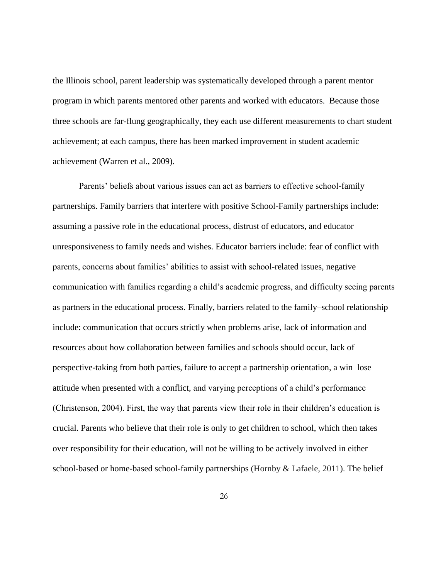the Illinois school, parent leadership was systematically developed through a parent mentor program in which parents mentored other parents and worked with educators. Because those three schools are far-flung geographically, they each use different measurements to chart student achievement; at each campus, there has been marked improvement in student academic achievement (Warren et al., 2009).

Parents' beliefs about various issues can act as barriers to effective school-family partnerships. Family barriers that interfere with positive School-Family partnerships include: assuming a passive role in the educational process, distrust of educators, and educator unresponsiveness to family needs and wishes. Educator barriers include: fear of conflict with parents, concerns about families' abilities to assist with school-related issues, negative communication with families regarding a child's academic progress, and difficulty seeing parents as partners in the educational process. Finally, barriers related to the family–school relationship include: communication that occurs strictly when problems arise, lack of information and resources about how collaboration between families and schools should occur, lack of perspective-taking from both parties, failure to accept a partnership orientation, a win–lose attitude when presented with a conflict, and varying perceptions of a child's performance (Christenson, 2004). First, the way that parents view their role in their children's education is crucial. Parents who believe that their role is only to get children to school, which then takes over responsibility for their education, will not be willing to be actively involved in either school-based or home-based school-family partnerships (Hornby & Lafaele, 2011). The belief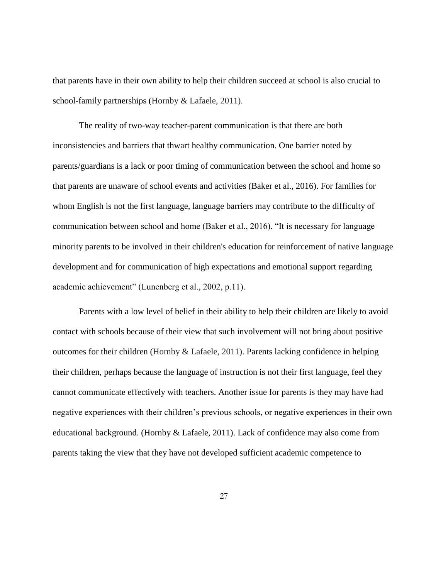that parents have in their own ability to help their children succeed at school is also crucial to school-family partnerships (Hornby & Lafaele, 2011).

The reality of two-way teacher-parent communication is that there are both inconsistencies and barriers that thwart healthy communication. One barrier noted by parents/guardians is a lack or poor timing of communication between the school and home so that parents are unaware of school events and activities (Baker et al., 2016). For families for whom English is not the first language, language barriers may contribute to the difficulty of communication between school and home (Baker et al., 2016). "It is necessary for language minority parents to be involved in their children's education for reinforcement of native language development and for communication of high expectations and emotional support regarding academic achievement" (Lunenberg et al., 2002, p.11).

Parents with a low level of belief in their ability to help their children are likely to avoid contact with schools because of their view that such involvement will not bring about positive outcomes for their children (Hornby & Lafaele, 2011). Parents lacking confidence in helping their children, perhaps because the language of instruction is not their first language, feel they cannot communicate effectively with teachers. Another issue for parents is they may have had negative experiences with their children's previous schools, or negative experiences in their own educational background. (Hornby & Lafaele, 2011). Lack of confidence may also come from parents taking the view that they have not developed sufficient academic competence to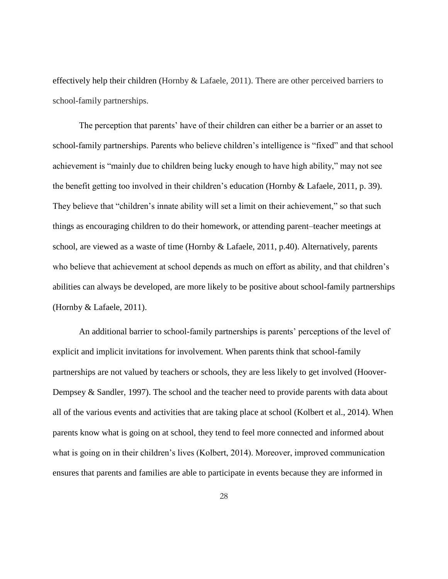effectively help their children (Hornby & Lafaele, 2011). There are other perceived barriers to school-family partnerships.

The perception that parents' have of their children can either be a barrier or an asset to school-family partnerships. Parents who believe children's intelligence is "fixed" and that school achievement is "mainly due to children being lucky enough to have high ability," may not see the benefit getting too involved in their children's education (Hornby & Lafaele, 2011, p. 39). They believe that "children's innate ability will set a limit on their achievement," so that such things as encouraging children to do their homework, or attending parent–teacher meetings at school, are viewed as a waste of time (Hornby & Lafaele, 2011, p.40). Alternatively, parents who believe that achievement at school depends as much on effort as ability, and that children's abilities can always be developed, are more likely to be positive about school-family partnerships (Hornby & Lafaele, 2011).

An additional barrier to school-family partnerships is parents' perceptions of the level of explicit and implicit invitations for involvement. When parents think that school-family partnerships are not valued by teachers or schools, they are less likely to get involved (Hoover-Dempsey & Sandler, 1997). The school and the teacher need to provide parents with data about all of the various events and activities that are taking place at school (Kolbert et al., 2014). When parents know what is going on at school, they tend to feel more connected and informed about what is going on in their children's lives (Kolbert, 2014). Moreover, improved communication ensures that parents and families are able to participate in events because they are informed in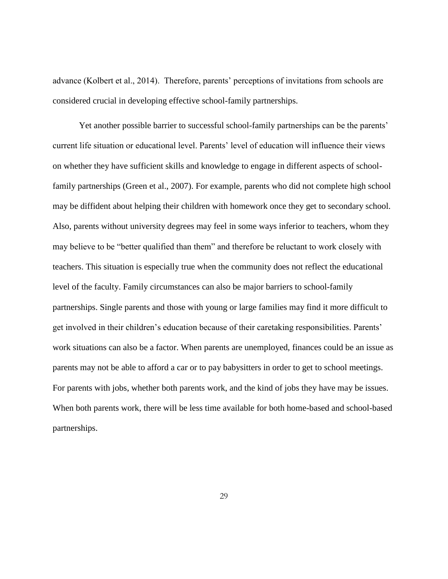advance (Kolbert et al., 2014). Therefore, parents' perceptions of invitations from schools are considered crucial in developing effective school-family partnerships.

Yet another possible barrier to successful school-family partnerships can be the parents' current life situation or educational level. Parents' level of education will influence their views on whether they have sufficient skills and knowledge to engage in different aspects of schoolfamily partnerships (Green et al., 2007). For example, parents who did not complete high school may be diffident about helping their children with homework once they get to secondary school. Also, parents without university degrees may feel in some ways inferior to teachers, whom they may believe to be "better qualified than them" and therefore be reluctant to work closely with teachers. This situation is especially true when the community does not reflect the educational level of the faculty. Family circumstances can also be major barriers to school-family partnerships. Single parents and those with young or large families may find it more difficult to get involved in their children's education because of their caretaking responsibilities. Parents' work situations can also be a factor. When parents are unemployed, finances could be an issue as parents may not be able to afford a car or to pay babysitters in order to get to school meetings. For parents with jobs, whether both parents work, and the kind of jobs they have may be issues. When both parents work, there will be less time available for both home-based and school-based partnerships.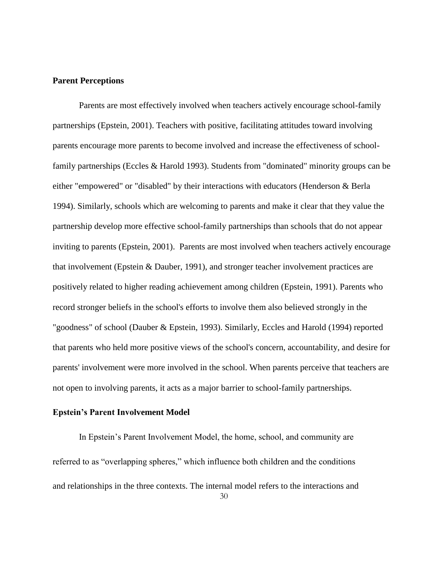#### **Parent Perceptions**

Parents are most effectively involved when teachers actively encourage school-family partnerships (Epstein, 2001). Teachers with positive, facilitating attitudes toward involving parents encourage more parents to become involved and increase the effectiveness of schoolfamily partnerships (Eccles & Harold 1993). Students from "dominated" minority groups can be either "empowered" or "disabled" by their interactions with educators (Henderson & Berla 1994). Similarly, schools which are welcoming to parents and make it clear that they value the partnership develop more effective school-family partnerships than schools that do not appear inviting to parents (Epstein, 2001). Parents are most involved when teachers actively encourage that involvement (Epstein & Dauber, 1991), and stronger teacher involvement practices are positively related to higher reading achievement among children (Epstein, 1991). Parents who record stronger beliefs in the school's efforts to involve them also believed strongly in the "goodness" of school (Dauber & Epstein, 1993). Similarly, Eccles and Harold (1994) reported that parents who held more positive views of the school's concern, accountability, and desire for parents' involvement were more involved in the school. When parents perceive that teachers are not open to involving parents, it acts as a major barrier to school-family partnerships.

#### **Epstein's Parent Involvement Model**

In Epstein's Parent Involvement Model, the home, school, and community are referred to as "overlapping spheres," which influence both children and the conditions and relationships in the three contexts. The internal model refers to the interactions and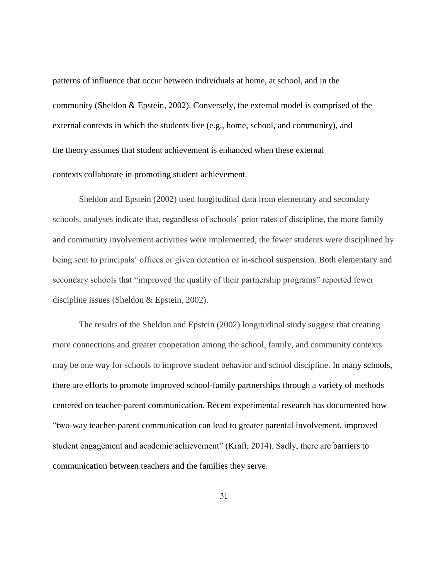patterns of influence that occur between individuals at home, at school, and in the community (Sheldon & Epstein, 2002). Conversely, the external model is comprised of the external contexts in which the students live (e.g., home, school, and community), and the theory assumes that student achievement is enhanced when these external contexts collaborate in promoting student achievement.

Sheldon and Epstein (2002) used longitudinal data from elementary and secondary schools, analyses indicate that, regardless of schools' prior rates of discipline, the more family and community involvement activities were implemented, the fewer students were disciplined by being sent to principals' offices or given detention or in-school suspension. Both elementary and secondary schools that "improved the quality of their partnership programs" reported fewer discipline issues (Sheldon & Epstein, 2002).

The results of the Sheldon and Epstein (2002) longitudinal study suggest that creating more connections and greater cooperation among the school, family, and community contexts may be one way for schools to improve student behavior and school discipline. In many schools, there are efforts to promote improved school-family partnerships through a variety of methods centered on teacher-parent communication. Recent experimental research has documented how "two-way teacher-parent communication can lead to greater parental involvement, improved student engagement and academic achievement" (Kraft, 2014). Sadly, there are barriers to communication between teachers and the families they serve.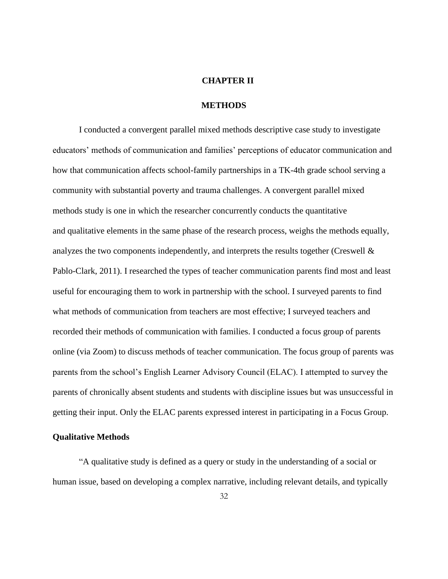## **CHAPTER II**

## **METHODS**

I conducted a convergent parallel mixed methods descriptive case study to investigate educators' methods of communication and families' perceptions of educator communication and how that communication affects school-family partnerships in a TK-4th grade school serving a community with substantial poverty and trauma challenges. A convergent parallel mixed methods study is one in which the researcher concurrently conducts the quantitative and qualitative elements in the same phase of the research process, weighs the methods equally, analyzes the two components independently, and interprets the results together (Creswell & Pablo-Clark, 2011). I researched the types of teacher communication parents find most and least useful for encouraging them to work in partnership with the school. I surveyed parents to find what methods of communication from teachers are most effective; I surveyed teachers and recorded their methods of communication with families. I conducted a focus group of parents online (via Zoom) to discuss methods of teacher communication. The focus group of parents was parents from the school's English Learner Advisory Council (ELAC). I attempted to survey the parents of chronically absent students and students with discipline issues but was unsuccessful in getting their input. Only the ELAC parents expressed interest in participating in a Focus Group.

#### **Qualitative Methods**

"A qualitative study is defined as a query or study in the understanding of a social or human issue, based on developing a complex narrative, including relevant details, and typically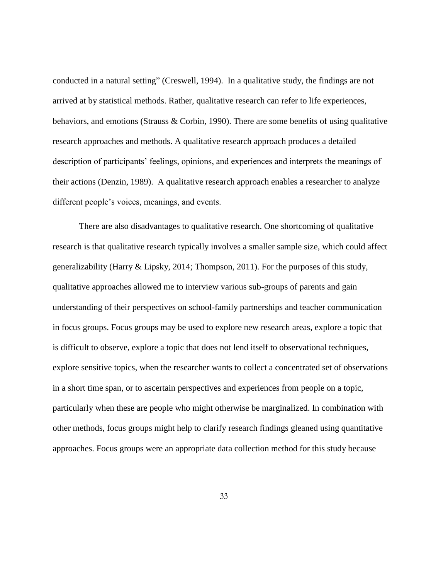conducted in a natural setting" (Creswell, 1994). In a qualitative study, the findings are not arrived at by statistical methods. Rather, qualitative research can refer to life experiences, behaviors, and emotions (Strauss & Corbin, 1990). There are some benefits of using qualitative research approaches and methods. A qualitative research approach produces a detailed description of participants' feelings, opinions, and experiences and interprets the meanings of their actions (Denzin, 1989). A qualitative research approach enables a researcher to analyze different people's voices, meanings, and events.

There are also disadvantages to qualitative research. One shortcoming of qualitative research is that qualitative research typically involves a smaller sample size, which could affect generalizability (Harry & Lipsky, 2014; Thompson, 2011). For the purposes of this study, qualitative approaches allowed me to interview various sub-groups of parents and gain understanding of their perspectives on school-family partnerships and teacher communication in focus groups. Focus groups may be used to explore new research areas, explore a topic that is difficult to observe, explore a topic that does not lend itself to observational techniques, explore sensitive topics, when the researcher wants to collect a concentrated set of observations in a short time span, or to ascertain perspectives and experiences from people on a topic, particularly when these are people who might otherwise be marginalized. In combination with other methods, focus groups might help to clarify research findings gleaned using quantitative approaches. Focus groups were an appropriate data collection method for this study because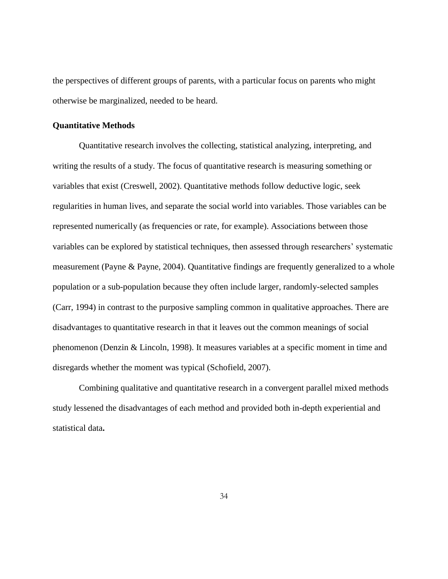the perspectives of different groups of parents, with a particular focus on parents who might otherwise be marginalized, needed to be heard.

#### **Quantitative Methods**

Quantitative research involves the collecting, statistical analyzing, interpreting, and writing the results of a study. The focus of quantitative research is measuring something or variables that exist (Creswell, 2002). Quantitative methods follow deductive logic, seek regularities in human lives, and separate the social world into variables. Those variables can be represented numerically (as frequencies or rate, for example). Associations between those variables can be explored by statistical techniques, then assessed through researchers' systematic measurement (Payne & Payne, 2004). Quantitative findings are frequently generalized to a whole population or a sub-population because they often include larger, randomly-selected samples (Carr, 1994) in contrast to the purposive sampling common in qualitative approaches. There are disadvantages to quantitative research in that it leaves out the common meanings of social phenomenon (Denzin & Lincoln, 1998). It measures variables at a specific moment in time and disregards whether the moment was typical (Schofield, 2007).

Combining qualitative and quantitative research in a convergent parallel mixed methods study lessened the disadvantages of each method and provided both in-depth experiential and statistical data**.**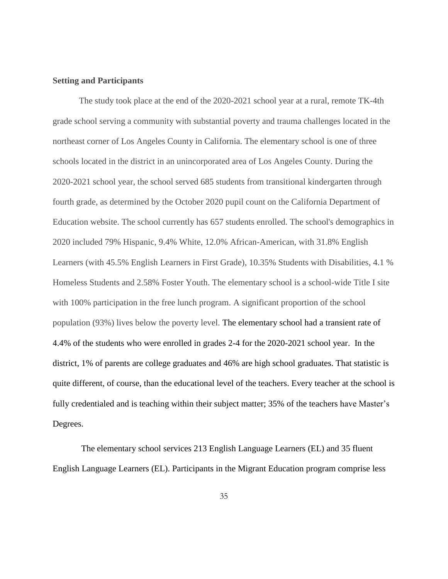#### **Setting and Participants**

The study took place at the end of the 2020-2021 school year at a rural, remote TK-4th grade school serving a community with substantial poverty and trauma challenges located in the northeast corner of Los Angeles County in California. The elementary school is one of three schools located in the district in an unincorporated area of Los Angeles County. During the 2020-2021 school year, the school served 685 students from transitional kindergarten through fourth grade, as determined by the October 2020 pupil count on the California Department of Education website. The school currently has 657 students enrolled. The school's demographics in 2020 included 79% Hispanic, 9.4% White, 12.0% African-American, with 31.8% English Learners (with 45.5% English Learners in First Grade), 10.35% Students with Disabilities, 4.1 % Homeless Students and 2.58% Foster Youth. The elementary school is a school-wide Title I site with 100% participation in the free lunch program. A significant proportion of the school population (93%) lives below the poverty level. The elementary school had a transient rate of 4.4% of the students who were enrolled in grades 2-4 for the 2020-2021 school year. In the district, 1% of parents are college graduates and 46% are high school graduates. That statistic is quite different, of course, than the educational level of the teachers. Every teacher at the school is fully credentialed and is teaching within their subject matter; 35% of the teachers have Master's Degrees.

The elementary school services 213 English Language Learners (EL) and 35 fluent English Language Learners (EL). Participants in the Migrant Education program comprise less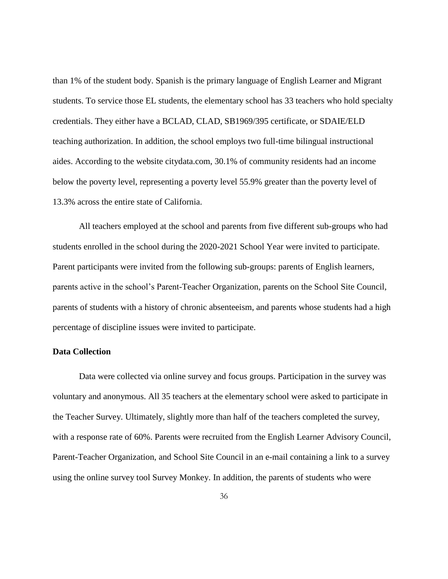than 1% of the student body. Spanish is the primary language of English Learner and Migrant students. To service those EL students, the elementary school has 33 teachers who hold specialty credentials. They either have a BCLAD, CLAD, SB1969/395 certificate, or SDAIE/ELD teaching authorization. In addition, the school employs two full-time bilingual instructional aides. According to the website citydata.com, 30.1% of community residents had an income below the poverty level, representing a poverty level 55.9% greater than the poverty level of 13.3% across the entire state of California.

All teachers employed at the school and parents from five different sub-groups who had students enrolled in the school during the 2020-2021 School Year were invited to participate. Parent participants were invited from the following sub-groups: parents of English learners, parents active in the school's Parent-Teacher Organization, parents on the School Site Council, parents of students with a history of chronic absenteeism, and parents whose students had a high percentage of discipline issues were invited to participate.

#### **Data Collection**

Data were collected via online survey and focus groups. Participation in the survey was voluntary and anonymous. All 35 teachers at the elementary school were asked to participate in the Teacher Survey. Ultimately, slightly more than half of the teachers completed the survey, with a response rate of 60%. Parents were recruited from the English Learner Advisory Council, Parent-Teacher Organization, and School Site Council in an e-mail containing a link to a survey using the online survey tool Survey Monkey. In addition, the parents of students who were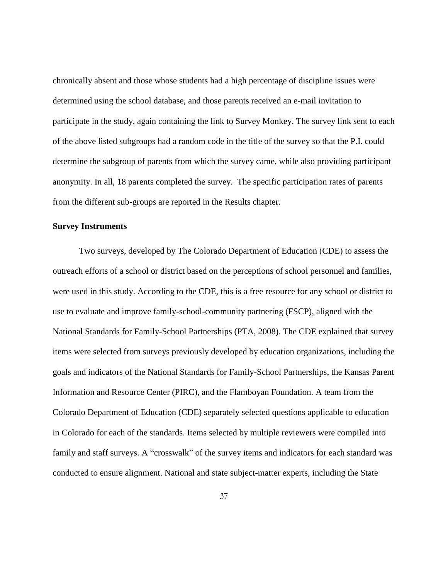chronically absent and those whose students had a high percentage of discipline issues were determined using the school database, and those parents received an e-mail invitation to participate in the study, again containing the link to Survey Monkey. The survey link sent to each of the above listed subgroups had a random code in the title of the survey so that the P.I. could determine the subgroup of parents from which the survey came, while also providing participant anonymity. In all, 18 parents completed the survey. The specific participation rates of parents from the different sub-groups are reported in the Results chapter.

#### **Survey Instruments**

Two surveys, developed by The Colorado Department of Education (CDE) to assess the outreach efforts of a school or district based on the perceptions of school personnel and families, were used in this study. According to the CDE, this is a free resource for any school or district to use to evaluate and improve family-school-community partnering (FSCP), aligned with the National Standards for Family-School Partnerships (PTA, 2008). The CDE explained that survey items were selected from surveys previously developed by education organizations, including the goals and indicators of the National Standards for Family-School Partnerships, the Kansas Parent Information and Resource Center (PIRC), and the Flamboyan Foundation. A team from the Colorado Department of Education (CDE) separately selected questions applicable to education in Colorado for each of the standards. Items selected by multiple reviewers were compiled into family and staff surveys. A "crosswalk" of the survey items and indicators for each standard was conducted to ensure alignment. National and state subject-matter experts, including the State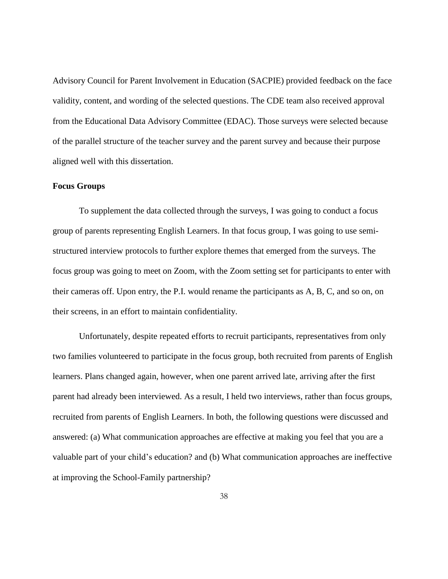Advisory Council for Parent Involvement in Education (SACPIE) provided feedback on the face validity, content, and wording of the selected questions. The CDE team also received approval from the Educational Data Advisory Committee (EDAC). Those surveys were selected because of the parallel structure of the teacher survey and the parent survey and because their purpose aligned well with this dissertation.

#### **Focus Groups**

To supplement the data collected through the surveys, I was going to conduct a focus group of parents representing English Learners. In that focus group, I was going to use semistructured interview protocols to further explore themes that emerged from the surveys. The focus group was going to meet on Zoom, with the Zoom setting set for participants to enter with their cameras off. Upon entry, the P.I. would rename the participants as A, B, C, and so on, on their screens, in an effort to maintain confidentiality.

Unfortunately, despite repeated efforts to recruit participants, representatives from only two families volunteered to participate in the focus group, both recruited from parents of English learners. Plans changed again, however, when one parent arrived late, arriving after the first parent had already been interviewed. As a result, I held two interviews, rather than focus groups, recruited from parents of English Learners. In both, the following questions were discussed and answered: (a) What communication approaches are effective at making you feel that you are a valuable part of your child's education? and (b) What communication approaches are ineffective at improving the School-Family partnership?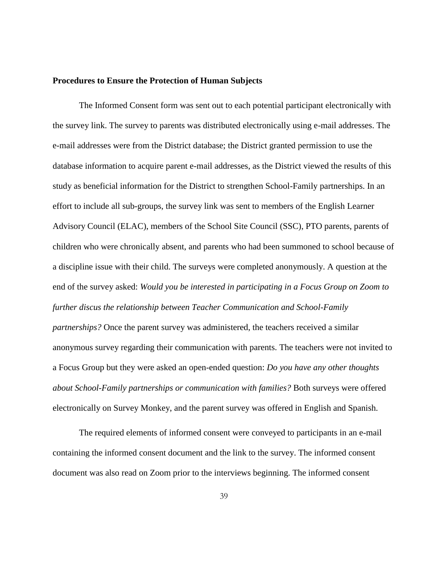#### **Procedures to Ensure the Protection of Human Subjects**

The Informed Consent form was sent out to each potential participant electronically with the survey link. The survey to parents was distributed electronically using e-mail addresses. The e-mail addresses were from the District database; the District granted permission to use the database information to acquire parent e-mail addresses, as the District viewed the results of this study as beneficial information for the District to strengthen School-Family partnerships. In an effort to include all sub-groups, the survey link was sent to members of the English Learner Advisory Council (ELAC), members of the School Site Council (SSC), PTO parents, parents of children who were chronically absent, and parents who had been summoned to school because of a discipline issue with their child. The surveys were completed anonymously. A question at the end of the survey asked: *Would you be interested in participating in a Focus Group on Zoom to further discus the relationship between Teacher Communication and School-Family partnerships?* Once the parent survey was administered, the teachers received a similar anonymous survey regarding their communication with parents. The teachers were not invited to a Focus Group but they were asked an open-ended question: *Do you have any other thoughts about School-Family partnerships or communication with families?* Both surveys were offered electronically on Survey Monkey, and the parent survey was offered in English and Spanish.

The required elements of informed consent were conveyed to participants in an e-mail containing the informed consent document and the link to the survey. The informed consent document was also read on Zoom prior to the interviews beginning. The informed consent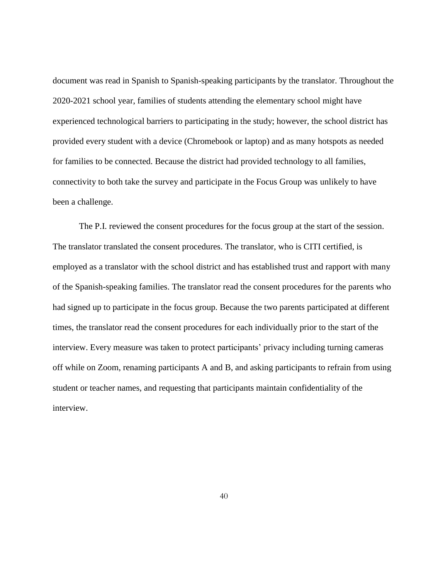document was read in Spanish to Spanish-speaking participants by the translator. Throughout the 2020-2021 school year, families of students attending the elementary school might have experienced technological barriers to participating in the study; however, the school district has provided every student with a device (Chromebook or laptop) and as many hotspots as needed for families to be connected. Because the district had provided technology to all families, connectivity to both take the survey and participate in the Focus Group was unlikely to have been a challenge.

The P.I. reviewed the consent procedures for the focus group at the start of the session. The translator translated the consent procedures. The translator, who is CITI certified, is employed as a translator with the school district and has established trust and rapport with many of the Spanish-speaking families. The translator read the consent procedures for the parents who had signed up to participate in the focus group. Because the two parents participated at different times, the translator read the consent procedures for each individually prior to the start of the interview. Every measure was taken to protect participants' privacy including turning cameras off while on Zoom, renaming participants A and B, and asking participants to refrain from using student or teacher names, and requesting that participants maintain confidentiality of the interview.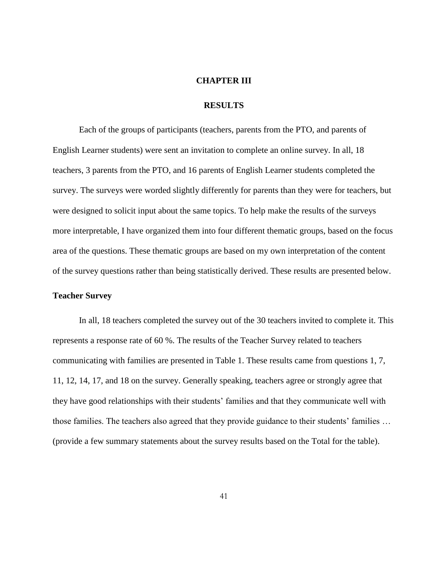# **CHAPTER III**

# **RESULTS**

Each of the groups of participants (teachers, parents from the PTO, and parents of English Learner students) were sent an invitation to complete an online survey. In all, 18 teachers, 3 parents from the PTO, and 16 parents of English Learner students completed the survey. The surveys were worded slightly differently for parents than they were for teachers, but were designed to solicit input about the same topics. To help make the results of the surveys more interpretable, I have organized them into four different thematic groups, based on the focus area of the questions. These thematic groups are based on my own interpretation of the content of the survey questions rather than being statistically derived. These results are presented below.

#### **Teacher Survey**

In all, 18 teachers completed the survey out of the 30 teachers invited to complete it. This represents a response rate of 60 %. The results of the Teacher Survey related to teachers communicating with families are presented in Table 1. These results came from questions 1, 7, 11, 12, 14, 17, and 18 on the survey. Generally speaking, teachers agree or strongly agree that they have good relationships with their students' families and that they communicate well with those families. The teachers also agreed that they provide guidance to their students' families … (provide a few summary statements about the survey results based on the Total for the table).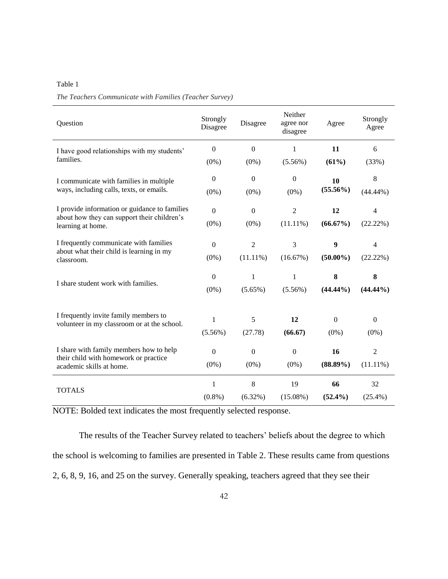| ×<br>I |  |
|--------|--|
|--------|--|

|  |  |  | The Teachers Communicate with Families (Teacher Survey) |  |  |  |  |
|--|--|--|---------------------------------------------------------|--|--|--|--|
|--|--|--|---------------------------------------------------------|--|--|--|--|

| Question                                                                                         | Strongly<br>Disagree | Disagree         | Neither<br>agree nor<br>disagree | Agree            | Strongly<br>Agree |
|--------------------------------------------------------------------------------------------------|----------------------|------------------|----------------------------------|------------------|-------------------|
| I have good relationships with my students'                                                      | $\mathbf{0}$         | $\boldsymbol{0}$ | $\mathbf{1}$                     | 11               | 6                 |
| families.                                                                                        | $(0\%)$              | $(0\%)$          | $(5.56\%)$                       | (61%)            | (33%)             |
| I communicate with families in multiple                                                          | $\overline{0}$       | $\mathbf{0}$     | $\boldsymbol{0}$                 | 10               | $\,8\,$           |
| ways, including calls, texts, or emails.                                                         | $(0\%)$              | $(0\%)$          | $(0\%)$                          | $(55.56\%)$      | $(44.44\%)$       |
| I provide information or guidance to families                                                    | $\mathbf{0}$         | $\boldsymbol{0}$ | $\overline{2}$                   | 12               | $\overline{4}$    |
| about how they can support their children's<br>learning at home.                                 | $(0\%)$              | $(0\%)$          | $(11.11\%)$                      | $(66.67\%)$      | (22.22%)          |
| I frequently communicate with families<br>about what their child is learning in my<br>classroom. | $\mathbf{0}$         | $\overline{2}$   | 3                                | $\boldsymbol{9}$ | $\overline{4}$    |
|                                                                                                  | $(0\%)$              | $(11.11\%)$      | (16.67%)                         | $(50.00\%)$      | (22.22%)          |
|                                                                                                  | $\Omega$             | $\mathbf{1}$     | $\mathbf{1}$                     | 8                | 8                 |
| I share student work with families.                                                              | $(0\%)$              | $(5.65\%)$       | $(5.56\%)$                       | $(44.44\%)$      | $(44.44\%)$       |
|                                                                                                  |                      |                  |                                  |                  |                   |
| I frequently invite family members to<br>volunteer in my classroom or at the school.             | $\mathbf{1}$         | $\sqrt{5}$       | 12                               | $\boldsymbol{0}$ | $\boldsymbol{0}$  |
|                                                                                                  | $(5.56\%)$           | (27.78)          | (66.67)                          | $(0\%)$          | $(0\%)$           |
| I share with family members how to help                                                          | $\boldsymbol{0}$     | $\boldsymbol{0}$ | $\boldsymbol{0}$                 | 16               | $\overline{2}$    |
| their child with homework or practice<br>academic skills at home.                                | $(0\%)$              | $(0\%)$          | $(0\%)$                          | $(88.89\%)$      | $(11.11\%)$       |
|                                                                                                  | 1                    | $\,8\,$          | 19                               | 66               | 32                |
| <b>TOTALS</b>                                                                                    | $(0.8\%)$            | $(6.32\%)$       | $(15.08\%)$                      | $(52.4\%)$       | $(25.4\%)$        |

The results of the Teacher Survey related to teachers' beliefs about the degree to which the school is welcoming to families are presented in Table 2. These results came from questions 2, 6, 8, 9, 16, and 25 on the survey. Generally speaking, teachers agreed that they see their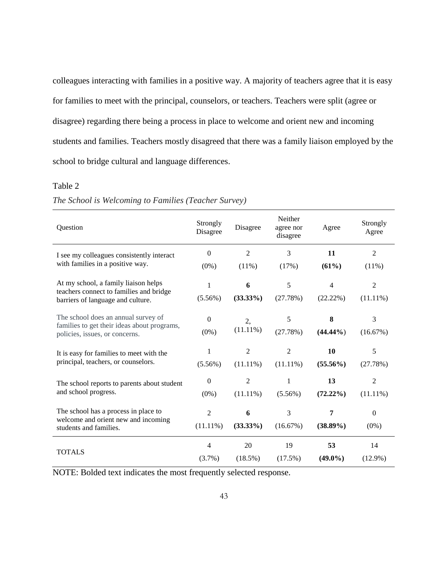colleagues interacting with families in a positive way. A majority of teachers agree that it is easy for families to meet with the principal, counselors, or teachers. Teachers were split (agree or disagree) regarding there being a process in place to welcome and orient new and incoming students and families. Teachers mostly disagreed that there was a family liaison employed by the school to bridge cultural and language differences.

#### Table 2

| Question                                                                      | Strongly<br>Disagree | Disagree       | Neither<br>agree nor<br>disagree | Agree          | Strongly<br>Agree |
|-------------------------------------------------------------------------------|----------------------|----------------|----------------------------------|----------------|-------------------|
| I see my colleagues consistently interact                                     | $\Omega$             | $\overline{2}$ | 3                                | 11             | $\overline{2}$    |
| with families in a positive way.                                              | $(0\%)$              | (11%)          | (17%)                            | (61%)          | $(11\%)$          |
| At my school, a family liaison helps                                          | 1                    | 6              | 5                                | $\overline{4}$ | $\overline{2}$    |
| teachers connect to families and bridge<br>barriers of language and culture.  | $(5.56\%)$           | $(33.33\%)$    | (27.78%)                         | (22.22%)       | $(11.11\%)$       |
| The school does an annual survey of                                           | $\Omega$             | 2,             | 5                                | 8              | 3                 |
| families to get their ideas about programs,<br>policies, issues, or concerns. | $(0\%)$              | $(11.11\%)$    | (27.78%)                         | $(44.44\%)$    | (16.67%)          |
| It is easy for families to meet with the                                      | 1                    | 2              | $\overline{2}$                   | 10             | 5                 |
| principal, teachers, or counselors.                                           | $(5.56\%)$           | $(11.11\%)$    | $(11.11\%)$                      | $(55.56\%)$    | (27.78%)          |
| The school reports to parents about student                                   | $\Omega$             | $\overline{2}$ | 1                                | 13             | $\overline{2}$    |
| and school progress.                                                          | $(0\%)$              | $(11.11\%)$    | $(5.56\%)$                       | $(72.22\%)$    | $(11.11\%)$       |
| The school has a process in place to                                          | $\overline{c}$       | 6              | 3                                | 7              | $\theta$          |
| welcome and orient new and incoming<br>students and families.                 | $(11.11\%)$          | $(33.33\%)$    | (16.67%)                         | $(38.89\%)$    | $(0\%)$           |
|                                                                               | 4                    | 20             | 19                               | 53             | 14                |
| <b>TOTALS</b>                                                                 | $(3.7\%)$            | $(18.5\%)$     | $(17.5\%)$                       | $(49.0\%)$     | $(12.9\%)$        |

## *The School is Welcoming to Families (Teacher Survey)*

NOTE: Bolded text indicates the most frequently selected response.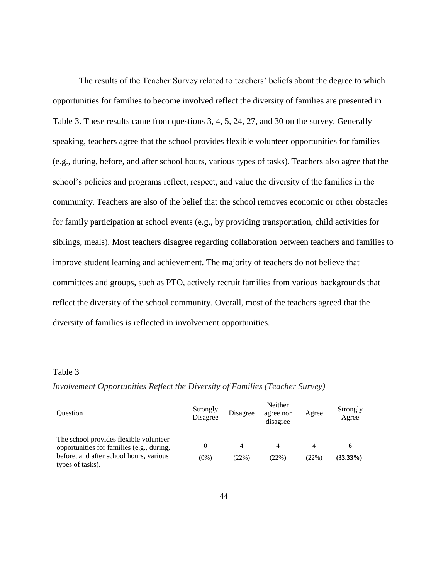The results of the Teacher Survey related to teachers' beliefs about the degree to which opportunities for families to become involved reflect the diversity of families are presented in Table 3. These results came from questions 3, 4, 5, 24, 27, and 30 on the survey. Generally speaking, teachers agree that the school provides flexible volunteer opportunities for families (e.g., during, before, and after school hours, various types of tasks). Teachers also agree that the school's policies and programs reflect, respect, and value the diversity of the families in the community. Teachers are also of the belief that the school removes economic or other obstacles for family participation at school events (e.g., by providing transportation, child activities for siblings, meals). Most teachers disagree regarding collaboration between teachers and families to improve student learning and achievement. The majority of teachers do not believe that committees and groups, such as PTO, actively recruit families from various backgrounds that reflect the diversity of the school community. Overall, most of the teachers agreed that the diversity of families is reflected in involvement opportunities.

#### Table 3

| <b>Ouestion</b>                                                                                                                                    | Strongly<br>Disagree | Disagree   | Neither<br>agree nor<br>disagree | Agree      | Strongly<br>Agree |
|----------------------------------------------------------------------------------------------------------------------------------------------------|----------------------|------------|----------------------------------|------------|-------------------|
| The school provides flexible volunteer<br>opportunities for families (e.g., during,<br>before, and after school hours, various<br>types of tasks). | 0<br>(0%)            | 4<br>(22%) | 4<br>(22%)                       | 4<br>(22%) | 6<br>$(33.33\%)$  |

*Involvement Opportunities Reflect the Diversity of Families (Teacher Survey)*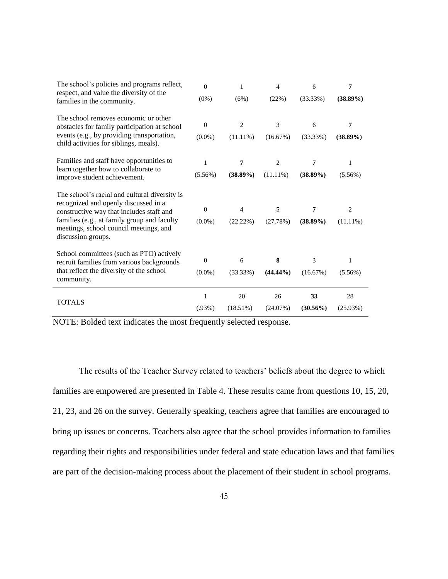| The school's policies and programs reflect,                                                                                                             | $\overline{0}$ | 1              | $\overline{4}$ | 6           | 7           |
|---------------------------------------------------------------------------------------------------------------------------------------------------------|----------------|----------------|----------------|-------------|-------------|
| respect, and value the diversity of the<br>families in the community.                                                                                   | $(0\%)$        | (6%)           | (22%)          | (33.33%)    | $(38.89\%)$ |
| The school removes economic or other<br>obstacles for family participation at school                                                                    | $\mathbf{0}$   | $\overline{c}$ | 3              | 6           | 7           |
| events (e.g., by providing transportation,<br>child activities for siblings, meals).                                                                    | $(0.0\%)$      | $(11.11\%)$    | (16.67%)       | $(33.33\%)$ | $(38.89\%)$ |
| Families and staff have opportunities to                                                                                                                | $\mathbf{1}$   | 7              | 2              | 7           | 1           |
| learn together how to collaborate to<br>improve student achievement.                                                                                    | $(5.56\%)$     | $(38.89\%)$    | $(11.11\%)$    | $(38.89\%)$ | $(5.56\%)$  |
| The school's racial and cultural diversity is<br>recognized and openly discussed in a                                                                   | $\mathbf{0}$   | $\overline{4}$ | 5              | 7           | 2           |
| constructive way that includes staff and<br>families (e.g., at family group and faculty<br>meetings, school council meetings, and<br>discussion groups. | $(0.0\%)$      | $(22.22\%)$    | (27.78%)       | $(38.89\%)$ | $(11.11\%)$ |
| School committees (such as PTO) actively                                                                                                                |                | 6              | 8              |             |             |
| recruit families from various backgrounds<br>that reflect the diversity of the school                                                                   | $\mathbf{0}$   |                |                | 3           | 1           |
| community.                                                                                                                                              | $(0.0\%)$      | (33.33%)       | $(44.44\%)$    | (16.67%)    | $(5.56\%)$  |
| <b>TOTALS</b>                                                                                                                                           | 1              | 20             | 26             | 33          | 28          |
|                                                                                                                                                         | (.93%)         | $(18.51\%)$    | (24.07%)       | $(30.56\%)$ | (25.93%)    |

The results of the Teacher Survey related to teachers' beliefs about the degree to which families are empowered are presented in Table 4. These results came from questions 10, 15, 20, 21, 23, and 26 on the survey. Generally speaking, teachers agree that families are encouraged to bring up issues or concerns. Teachers also agree that the school provides information to families regarding their rights and responsibilities under federal and state education laws and that families are part of the decision-making process about the placement of their student in school programs.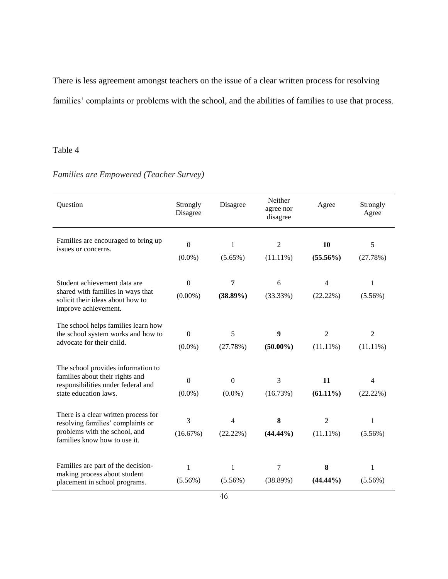There is less agreement amongst teachers on the issue of a clear written process for resolving families' complaints or problems with the school, and the abilities of families to use that process.

## Table 4

| Question                                                                                           | Strongly<br>Disagree | Disagree       | Neither<br>agree nor<br>disagree | Agree          | Strongly<br>Agree |
|----------------------------------------------------------------------------------------------------|----------------------|----------------|----------------------------------|----------------|-------------------|
| Families are encouraged to bring up<br>issues or concerns.                                         | $\overline{0}$       | 1              | $\overline{2}$                   | 10             | 5                 |
|                                                                                                    | $(0.0\%)$            | $(5.65\%)$     | $(11.11\%)$                      | $(55.56\%)$    | (27.78%)          |
| Student achievement data are<br>shared with families in ways that                                  | $\Omega$             | 7              | 6                                | 4              | 1                 |
| solicit their ideas about how to<br>improve achievement.                                           | $(0.00\%)$           | $(38.89\%)$    | (33.33%)                         | (22.22%)       | $(5.56\%)$        |
| The school helps families learn how<br>the school system works and how to                          | $\boldsymbol{0}$     | 5              | $\boldsymbol{9}$                 | $\overline{2}$ | $\overline{2}$    |
| advocate for their child.                                                                          | $(0.0\%)$            | (27.78%)       | $(50.00\%)$                      | $(11.11\%)$    | $(11.11\%)$       |
| The school provides information to                                                                 |                      |                |                                  |                |                   |
| families about their rights and<br>responsibilities under federal and                              | $\boldsymbol{0}$     | $\mathbf{0}$   | 3                                | 11             | $\overline{4}$    |
| state education laws.                                                                              | $(0.0\%)$            | $(0.0\%)$      | (16.73%)                         | $(61.11\%)$    | (22.22%)          |
| There is a clear written process for                                                               | 3                    | $\overline{4}$ | 8                                | $\overline{2}$ | 1                 |
| resolving families' complaints or<br>problems with the school, and<br>families know how to use it. | (16.67%)             | (22.22%)       | $(44.44\%)$                      | $(11.11\%)$    | $(5.56\%)$        |
| Families are part of the decision-                                                                 | $\mathbf{1}$         | $\mathbf{1}$   | $\tau$                           | 8              | 1                 |
| making process about student<br>placement in school programs.                                      | $(5.56\%)$           | $(5.56\%)$     | (38.89%)                         | $(44.44\%)$    | $(5.56\%)$        |

## *Families are Empowered (Teacher Survey)*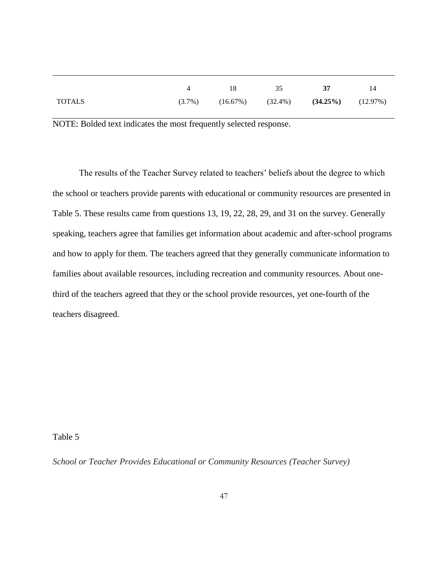|        | 18                               | 35 | 37                      | 14 |
|--------|----------------------------------|----|-------------------------|----|
| TOTALS | $(3.7\%)$ $(16.67\%)$ $(32.4\%)$ |    | $(34.25\%)$ $(12.97\%)$ |    |

The results of the Teacher Survey related to teachers' beliefs about the degree to which the school or teachers provide parents with educational or community resources are presented in Table 5. These results came from questions 13, 19, 22, 28, 29, and 31 on the survey. Generally speaking, teachers agree that families get information about academic and after-school programs and how to apply for them. The teachers agreed that they generally communicate information to families about available resources, including recreation and community resources. About onethird of the teachers agreed that they or the school provide resources, yet one-fourth of the teachers disagreed.

Table 5

*School or Teacher Provides Educational or Community Resources (Teacher Survey)*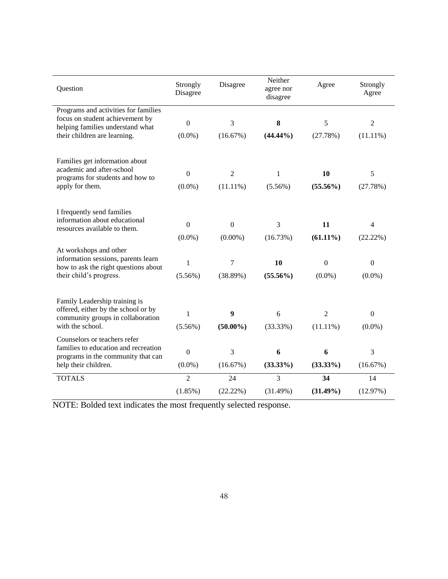| Question                                                                                                                           | Strongly<br>Disagree          | Disagree                       | Neither<br>agree nor<br>disagree | Agree                         | Strongly<br>Agree                    |
|------------------------------------------------------------------------------------------------------------------------------------|-------------------------------|--------------------------------|----------------------------------|-------------------------------|--------------------------------------|
| Programs and activities for families<br>focus on student achievement by<br>helping families understand what                        | $\boldsymbol{0}$              | 3                              | 8                                | 5                             | $\overline{2}$                       |
| their children are learning.                                                                                                       | $(0.0\%)$                     | (16.67%)                       | $(44.44\%)$                      | (27.78%)                      | $(11.11\%)$                          |
| Families get information about<br>academic and after-school                                                                        |                               |                                |                                  |                               |                                      |
| programs for students and how to                                                                                                   | $\boldsymbol{0}$              | $\overline{2}$                 | 1                                | 10                            | 5                                    |
| apply for them.                                                                                                                    | $(0.0\%)$                     | $(11.11\%)$                    | $(5.56\%)$                       | $(55.56\%)$                   | (27.78%)                             |
| I frequently send families<br>information about educational<br>resources available to them.                                        | $\mathbf{0}$<br>$(0.0\%)$     | $\boldsymbol{0}$<br>$(0.00\%)$ | 3<br>(16.73%)                    | 11<br>$(61.11\%)$             | $\overline{\mathcal{L}}$<br>(22.22%) |
| At workshops and other<br>information sessions, parents learn<br>how to ask the right questions about<br>their child's progress.   | 1<br>$(5.56\%)$               | 7<br>(38.89%)                  | 10<br>$(55.56\%)$                | $\boldsymbol{0}$<br>$(0.0\%)$ | $\boldsymbol{0}$<br>$(0.0\%)$        |
| Family Leadership training is<br>offered, either by the school or by<br>community groups in collaboration<br>with the school.      | $\mathbf{1}$<br>$(5.56\%)$    | 9<br>$(50.00\%)$               | 6<br>(33.33%)                    | $\overline{c}$<br>$(11.11\%)$ | $\boldsymbol{0}$<br>$(0.0\%)$        |
| Counselors or teachers refer<br>families to education and recreation<br>programs in the community that can<br>help their children. | $\boldsymbol{0}$<br>$(0.0\%)$ | 3<br>(16.67%)                  | 6<br>$(33.33\%)$                 | 6<br>$(33.33\%)$              | 3<br>(16.67%)                        |
| <b>TOTALS</b>                                                                                                                      | $\overline{2}$                | 24                             | 3                                | 34                            | 14                                   |
|                                                                                                                                    | (1.85%)                       | (22.22%)                       | (31.49%)                         | $(31.49\%)$                   | (12.97%)                             |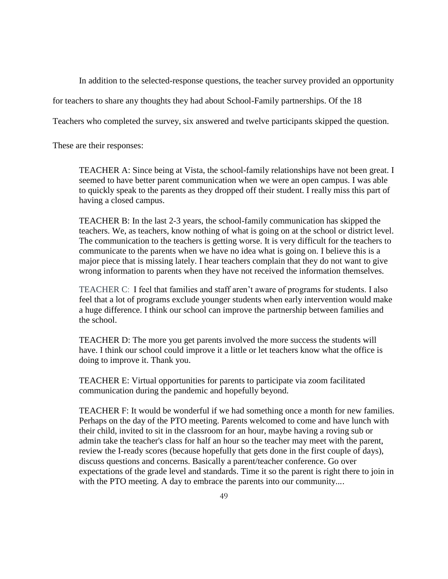In addition to the selected-response questions, the teacher survey provided an opportunity

for teachers to share any thoughts they had about School-Family partnerships. Of the 18

Teachers who completed the survey, six answered and twelve participants skipped the question.

These are their responses:

TEACHER A: Since being at Vista, the school-family relationships have not been great. I seemed to have better parent communication when we were an open campus. I was able to quickly speak to the parents as they dropped off their student. I really miss this part of having a closed campus.

TEACHER B: In the last 2-3 years, the school-family communication has skipped the teachers. We, as teachers, know nothing of what is going on at the school or district level. The communication to the teachers is getting worse. It is very difficult for the teachers to communicate to the parents when we have no idea what is going on. I believe this is a major piece that is missing lately. I hear teachers complain that they do not want to give wrong information to parents when they have not received the information themselves.

TEACHER C: I feel that families and staff aren't aware of programs for students. I also feel that a lot of programs exclude younger students when early intervention would make a huge difference. I think our school can improve the partnership between families and the school.

TEACHER D: The more you get parents involved the more success the students will have. I think our school could improve it a little or let teachers know what the office is doing to improve it. Thank you.

TEACHER E: Virtual opportunities for parents to participate via zoom facilitated communication during the pandemic and hopefully beyond.

TEACHER F: It would be wonderful if we had something once a month for new families. Perhaps on the day of the PTO meeting. Parents welcomed to come and have lunch with their child, invited to sit in the classroom for an hour, maybe having a roving sub or admin take the teacher's class for half an hour so the teacher may meet with the parent, review the I-ready scores (because hopefully that gets done in the first couple of days), discuss questions and concerns. Basically a parent/teacher conference. Go over expectations of the grade level and standards. Time it so the parent is right there to join in with the PTO meeting. A day to embrace the parents into our community....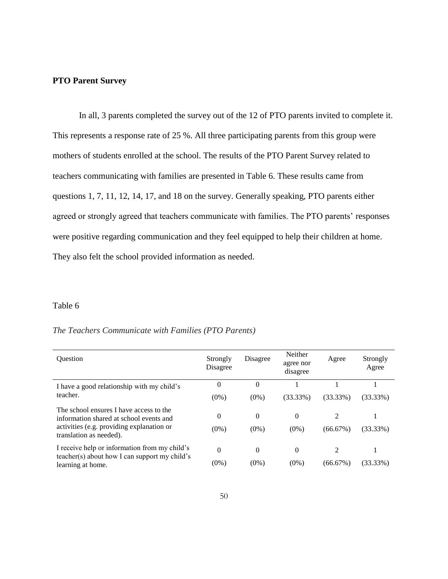#### **PTO Parent Survey**

In all, 3 parents completed the survey out of the 12 of PTO parents invited to complete it. This represents a response rate of 25 %. All three participating parents from this group were mothers of students enrolled at the school. The results of the PTO Parent Survey related to teachers communicating with families are presented in Table 6. These results came from questions 1, 7, 11, 12, 14, 17, and 18 on the survey. Generally speaking, PTO parents either agreed or strongly agreed that teachers communicate with families. The PTO parents' responses were positive regarding communication and they feel equipped to help their children at home. They also felt the school provided information as needed.

#### Table 6

#### *The Teachers Communicate with Families (PTO Parents)*

| <b>Ouestion</b>                                                                    | Strongly<br>Disagree | Disagree | Neither<br>agree nor<br>disagree | Agree       | Strongly<br>Agree |
|------------------------------------------------------------------------------------|----------------------|----------|----------------------------------|-------------|-------------------|
| I have a good relationship with my child's                                         | 0                    | $\theta$ |                                  |             |                   |
| teacher.                                                                           | $(0\%)$              | $(0\%)$  | (33.33%)                         | $(33.33\%)$ | $(33.33\%)$       |
| The school ensures I have access to the<br>information shared at school events and | 0                    | $\theta$ | $\Omega$                         | 2           |                   |
| activities (e.g. providing explanation or<br>translation as needed).               | $(0\%)$              | $(0\%)$  | $(0\%)$                          | (66.67%)    | $(33.33\%)$       |
| I receive help or information from my child's                                      | $\Omega$             | $\theta$ | $\Omega$                         | 2           |                   |
| $teacher(s)$ about how I can support my child's<br>learning at home.               | $(0\%)$              | $(0\%)$  | $(0\%)$                          | (66.67%)    | $(33.33\%)$       |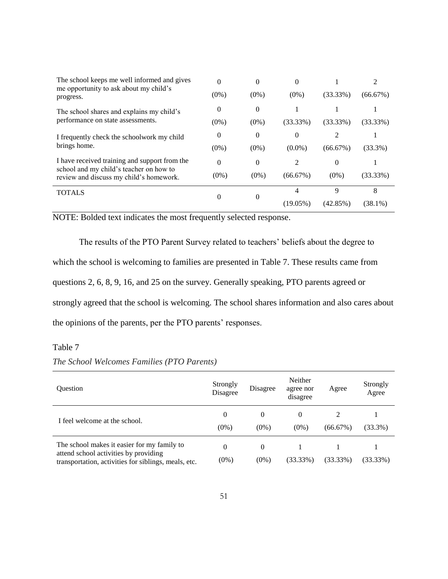| The school keeps me well informed and gives<br>me opportunity to ask about my child's    | $\Omega$ | $\theta$ | $\Omega$  |             | 2           |
|------------------------------------------------------------------------------------------|----------|----------|-----------|-------------|-------------|
| progress.                                                                                | $(0\%)$  | $(0\%)$  | $(0\%)$   | $(33.33\%)$ | (66.67%)    |
| The school shares and explains my child's                                                | 0        | $\theta$ |           |             |             |
| performance on state assessments.                                                        | $(0\%)$  | $(0\%)$  | (33.33%)  | (33.33%)    | $(33.33\%)$ |
| I frequently check the schoolwork my child                                               | 0        | 0        | 0         |             |             |
| brings home.                                                                             | $(0\%)$  | $(0\%)$  | $(0.0\%)$ | (66.67%)    | $(33.3\%)$  |
| I have received training and support from the<br>school and my child's teacher on how to | 0        | $\theta$ | 2         | $\theta$    |             |
| review and discuss my child's homework.                                                  | $(0\%)$  | $(0\%)$  | (66.67%)  | $(0\%)$     | $(33.33\%)$ |
| <b>TOTALS</b>                                                                            | 0        | 0        | 4         | 9           | 8           |
|                                                                                          |          |          | (19.05%)  | (42.85%)    | (38.1%)     |

The results of the PTO Parent Survey related to teachers' beliefs about the degree to which the school is welcoming to families are presented in Table 7. These results came from questions 2, 6, 8, 9, 16, and 25 on the survey. Generally speaking, PTO parents agreed or strongly agreed that the school is welcoming. The school shares information and also cares about the opinions of the parents, per the PTO parents' responses.

## Table 7

| <b>Ouestion</b>                                                                                                                              | Strongly<br>Disagree | Disagree            | Neither<br>agree nor<br>disagree | Agree    | Strongly<br>Agree |
|----------------------------------------------------------------------------------------------------------------------------------------------|----------------------|---------------------|----------------------------------|----------|-------------------|
| I feel welcome at the school.                                                                                                                | 0<br>$(0\%)$         | $\theta$<br>$(0\%)$ | 0<br>$(0\%)$                     | (66.67%) | $(33.3\%)$        |
| The school makes it easier for my family to<br>attend school activities by providing<br>transportation, activities for siblings, meals, etc. | 0<br>$(0\%)$         | $\Omega$<br>$(0\%)$ | (33.33%)                         | (33.33%) | (33.33%)          |

### *The School Welcomes Families (PTO Parents)*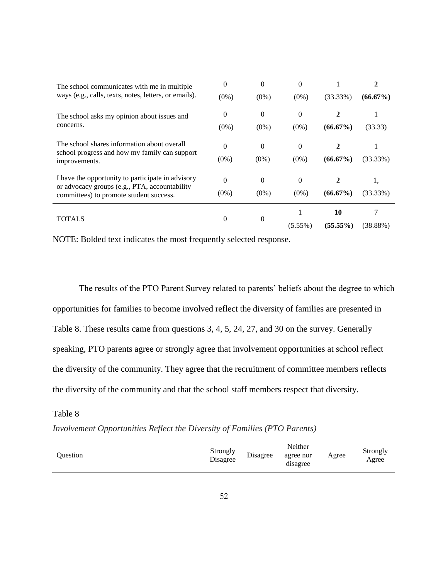| The school communicates with me in multiple                                                  | $\Omega$ | $\Omega$ | 0          |             | 2           |
|----------------------------------------------------------------------------------------------|----------|----------|------------|-------------|-------------|
| ways (e.g., calls, texts, notes, letters, or emails).                                        | $(0\%)$  | $(0\%)$  | $(0\%)$    | $(33.33\%)$ | $(66.67\%)$ |
| The school asks my opinion about issues and                                                  | 0        | $\theta$ | $\theta$   | 2           |             |
| concerns.                                                                                    | $(0\%)$  | $(0\%)$  | $(0\%)$    | $(66.67\%)$ | (33.33)     |
| The school shares information about overall<br>school progress and how my family can support | $\Omega$ | $\Omega$ | $\Omega$   |             |             |
| improvements.                                                                                | $(0\%)$  | $(0\%)$  | $(0\%)$    | $(66.67\%)$ | $(33.33\%)$ |
| I have the opportunity to participate in advisory                                            | $\Omega$ | $\Omega$ | $\theta$   |             | 1,          |
| or advocacy groups (e.g., PTA, accountability<br>committees) to promote student success.     | $(0\%)$  | $(0\%)$  | $(0\%)$    | $(66.67\%)$ | $(33.33\%)$ |
| <b>TOTALS</b>                                                                                | 0        | $\Omega$ |            | 10          |             |
|                                                                                              |          |          | $(5.55\%)$ | $(55.55\%)$ | (38.88%)    |

The results of the PTO Parent Survey related to parents' beliefs about the degree to which opportunities for families to become involved reflect the diversity of families are presented in Table 8. These results came from questions 3, 4, 5, 24, 27, and 30 on the survey. Generally speaking, PTO parents agree or strongly agree that involvement opportunities at school reflect the diversity of the community. They agree that the recruitment of committee members reflects the diversity of the community and that the school staff members respect that diversity.

Table 8

*Involvement Opportunities Reflect the Diversity of Families (PTO Parents)*

| Ouestion | Strongly<br>Disagree | Disagree | Neither<br>agree nor<br>disagree | Agree | Strongly<br>Agree |
|----------|----------------------|----------|----------------------------------|-------|-------------------|
|----------|----------------------|----------|----------------------------------|-------|-------------------|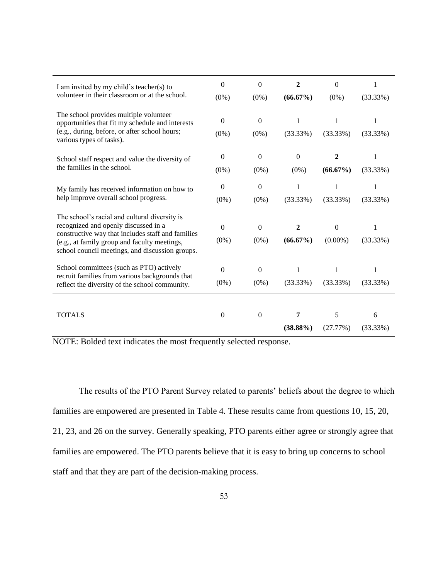| I am invited by my child's teacher(s) to                                                        | $\theta$     | $\boldsymbol{0}$ | $\overline{2}$ | $\boldsymbol{0}$ | 1           |
|-------------------------------------------------------------------------------------------------|--------------|------------------|----------------|------------------|-------------|
| volunteer in their classroom or at the school.                                                  | $(0\%)$      | $(0\%)$          | $(66.67\%)$    | $(0\%)$          | (33.33%)    |
| The school provides multiple volunteer<br>opportunities that fit my schedule and interests      | $\mathbf{0}$ | $\overline{0}$   | 1              | 1                | 1           |
| (e.g., during, before, or after school hours;<br>various types of tasks).                       | $(0\%)$      | $(0\%)$          | (33.33%)       | (33.33%)         | (33.33%)    |
| School staff respect and value the diversity of                                                 | $\mathbf{0}$ | $\boldsymbol{0}$ | $\mathbf{0}$   | 2                | 1           |
| the families in the school.                                                                     | $(0\%)$      | $(0\%)$          | $(0\%)$        | $(66.67\%)$      | (33.33%)    |
| My family has received information on how to                                                    | $\mathbf{0}$ | $\overline{0}$   | 1              | 1                | 1           |
| help improve overall school progress.                                                           | $(0\%)$      | $(0\%)$          | $(33.33\%)$    | (33.33%)         | (33.33%)    |
| The school's racial and cultural diversity is                                                   |              |                  |                |                  |             |
| recognized and openly discussed in a<br>constructive way that includes staff and families       | $\Omega$     | $\mathbf{0}$     | $\overline{2}$ | $\overline{0}$   | 1           |
| (e.g., at family group and faculty meetings,<br>school council meetings, and discussion groups. | $(0\%)$      | $(0\%)$          | $(66.67\%)$    | $(0.00\%)$       | (33.33%)    |
| School committees (such as PTO) actively<br>recruit families from various backgrounds that      | $\Omega$     | $\boldsymbol{0}$ | $\mathbf{1}$   | 1                | 1           |
| reflect the diversity of the school community.                                                  | $(0\%)$      | $(0\%)$          | (33.33%)       | (33.33%)         | (33.33%)    |
|                                                                                                 |              |                  |                |                  |             |
| <b>TOTALS</b>                                                                                   | $\Omega$     | $\Omega$         | 7              | 5                | 6           |
|                                                                                                 |              |                  | $(38.88\%)$    | (27.77%)         | $(33.33\%)$ |

NOTE: Bolded text indicates the most frequently selected response.

The results of the PTO Parent Survey related to parents' beliefs about the degree to which families are empowered are presented in Table 4. These results came from questions 10, 15, 20, 21, 23, and 26 on the survey. Generally speaking, PTO parents either agree or strongly agree that families are empowered. The PTO parents believe that it is easy to bring up concerns to school staff and that they are part of the decision-making process.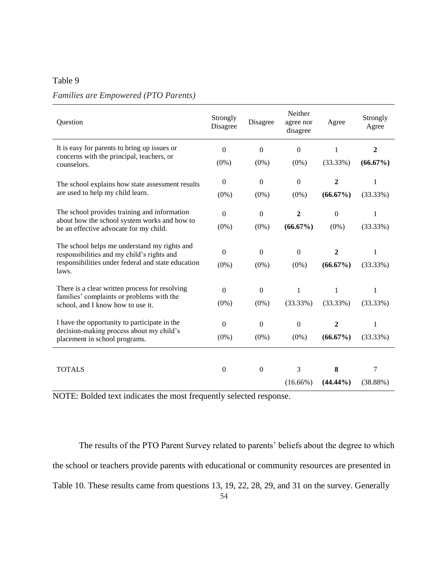#### Table 9

## *Families are Empowered (PTO Parents)*

| Question                                                                                         | Strongly<br>Disagree | Disagree         | Neither<br>agree nor<br>disagree | Agree        | Strongly<br>Agree |
|--------------------------------------------------------------------------------------------------|----------------------|------------------|----------------------------------|--------------|-------------------|
| It is easy for parents to bring up issues or                                                     | $\mathbf{0}$         | $\mathbf{0}$     | $\Omega$                         | 1            | $\mathbf{2}$      |
| concerns with the principal, teachers, or<br>counselors.                                         | $(0\%)$              | $(0\%)$          | $(0\%)$                          | (33.33%)     | $(66.67\%)$       |
| The school explains how state assessment results                                                 | $\mathbf{0}$         | $\boldsymbol{0}$ | $\overline{0}$                   | 2            | 1                 |
| are used to help my child learn.                                                                 | $(0\%)$              | $(0\%)$          | $(0\%)$                          | $(66.67\%)$  | (33.33%)          |
| The school provides training and information                                                     | $\boldsymbol{0}$     | $\boldsymbol{0}$ | $\boldsymbol{2}$                 | $\mathbf{0}$ | $\mathbf{1}$      |
| about how the school system works and how to<br>be an effective advocate for my child.           | $(0\%)$              | $(0\%)$          | $(66.67\%)$                      | $(0\%)$      | (33.33%)          |
| The school helps me understand my rights and                                                     | $\Omega$             | $\boldsymbol{0}$ | $\theta$                         | 2            | 1                 |
| responsibilities and my child's rights and<br>responsibilities under federal and state education | $(0\%)$              | $(0\%)$          | $(0\%)$                          | $(66.67\%)$  | (33.33%)          |
| laws.                                                                                            |                      |                  |                                  |              |                   |
| There is a clear written process for resolving                                                   | $\overline{0}$       | $\boldsymbol{0}$ | 1                                | 1            | 1                 |
| families' complaints or problems with the<br>school, and I know how to use it.                   | $(0\%)$              | $(0\%)$          | (33.33%)                         | (33.33%)     | (33.33%)          |
| I have the opportunity to participate in the                                                     | $\boldsymbol{0}$     | $\boldsymbol{0}$ | $\boldsymbol{0}$                 | 2            | 1                 |
| decision-making process about my child's<br>placement in school programs.                        | $(0\%)$              | $(0\%)$          | $(0\%)$                          | $(66.67\%)$  | (33.33%)          |
|                                                                                                  |                      |                  |                                  |              |                   |
| <b>TOTALS</b>                                                                                    | $\mathbf{0}$         | $\boldsymbol{0}$ | 3                                | 8            | 7                 |
|                                                                                                  |                      |                  | $(16.66\%)$                      | $(44.44\%)$  | (38.88%)          |

NOTE: Bolded text indicates the most frequently selected response.

The results of the PTO Parent Survey related to parents' beliefs about the degree to which the school or teachers provide parents with educational or community resources are presented in Table 10. These results came from questions 13, 19, 22, 28, 29, and 31 on the survey. Generally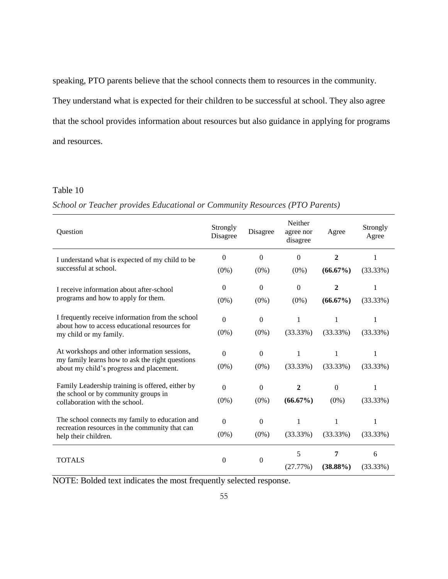speaking, PTO parents believe that the school connects them to resources in the community. They understand what is expected for their children to be successful at school. They also agree that the school provides information about resources but also guidance in applying for programs and resources.

### Table 10

#### *School or Teacher provides Educational or Community Resources (PTO Parents)*

| Question                                                                                    | Strongly<br>Disagree | Disagree         | Neither<br>agree nor<br>disagree | Agree       | Strongly<br>Agree |
|---------------------------------------------------------------------------------------------|----------------------|------------------|----------------------------------|-------------|-------------------|
| I understand what is expected of my child to be                                             | $\mathbf{0}$         | $\overline{0}$   | $\Omega$                         | 2           | 1                 |
| successful at school.                                                                       | $(0\%)$              | $(0\%)$          | $(0\%)$                          | $(66.67\%)$ | (33.33%)          |
| I receive information about after-school                                                    | $\Omega$             | $\mathbf{0}$     | $\overline{0}$                   | 2           | 1                 |
| programs and how to apply for them.                                                         | $(0\%)$              | $(0\%)$          | $(0\%)$                          | $(66.67\%)$ | (33.33%)          |
| I frequently receive information from the school                                            | $\theta$             | $\boldsymbol{0}$ | $\mathbf{1}$                     | 1           | 1                 |
| about how to access educational resources for<br>my child or my family.                     | $(0\%)$              | $(0\%)$          | (33.33%)                         | (33.33%)    | (33.33%)          |
| At workshops and other information sessions,                                                | $\Omega$             | $\boldsymbol{0}$ | 1                                | 1           | 1                 |
| my family learns how to ask the right questions<br>about my child's progress and placement. | $(0\%)$              | $(0\%)$          | (33.33%)                         | (33.33%)    | $(33.33\%)$       |
| Family Leadership training is offered, either by                                            | $\theta$             | $\Omega$         | 2                                | $\Omega$    |                   |
| the school or by community groups in<br>collaboration with the school.                      | $(0\%)$              | $(0\%)$          | $(66.67\%)$                      | $(0\%)$     | (33.33%)          |
| The school connects my family to education and                                              | $\overline{0}$       | $\Omega$         | 1                                | 1           | 1                 |
| recreation resources in the community that can<br>help their children.                      | $(0\%)$              | $(0\%)$          | $(33.33\%)$                      | $(33.33\%)$ | $(33.33\%)$       |
|                                                                                             |                      |                  | 5                                | 7           | 6                 |
| <b>TOTALS</b>                                                                               | $\mathbf{0}$         | $\boldsymbol{0}$ | (27.77%)                         | $(38.88\%)$ | $(33.33\%)$       |

NOTE: Bolded text indicates the most frequently selected response.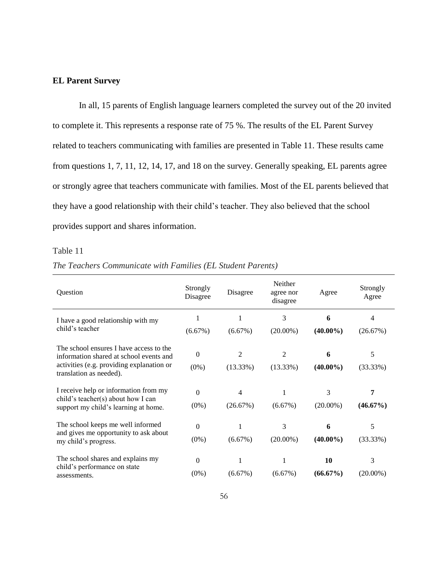#### **EL Parent Survey**

In all, 15 parents of English language learners completed the survey out of the 20 invited to complete it. This represents a response rate of 75 %. The results of the EL Parent Survey related to teachers communicating with families are presented in Table 11. These results came from questions 1, 7, 11, 12, 14, 17, and 18 on the survey. Generally speaking, EL parents agree or strongly agree that teachers communicate with families. Most of the EL parents believed that they have a good relationship with their child's teacher. They also believed that the school provides support and shares information.

### Table 11

| The Teachers Communicate with Families (EL Student Parents) |  |  |  |  |  |  |  |
|-------------------------------------------------------------|--|--|--|--|--|--|--|
|-------------------------------------------------------------|--|--|--|--|--|--|--|

| Question                                                                                                                                                   | Strongly<br>Disagree | Disagree      | Neither<br>agree nor<br>disagree | Agree             | Strongly<br>Agree |
|------------------------------------------------------------------------------------------------------------------------------------------------------------|----------------------|---------------|----------------------------------|-------------------|-------------------|
| I have a good relationship with my                                                                                                                         |                      |               | 3                                | 6                 | 4                 |
| child's teacher                                                                                                                                            | (6.67%)              | (6.67%)       | $(20.00\%)$                      | $(40.00\%)$       | (26.67%)          |
| The school ensures I have access to the<br>information shared at school events and<br>activities (e.g. providing explanation or<br>translation as needed). | $\Omega$<br>$(0\%)$  | 2<br>(13.33%) | 2<br>$(13.33\%)$                 | 6<br>$(40.00\%)$  | 5<br>(33.33%)     |
| I receive help or information from my<br>child's teacher(s) about how I can<br>support my child's learning at home.                                        | $\Omega$<br>$(0\%)$  | 4<br>(26.67%) | $(6.67\%)$                       | 3<br>$(20.00\%)$  | 7<br>$(46.67\%)$  |
| The school keeps me well informed<br>and gives me opportunity to ask about<br>my child's progress.                                                         | $\Omega$<br>$(0\%)$  | (6.67%)       | 3<br>$(20.00\%)$                 | 6<br>$(40.00\%)$  | 5<br>(33.33%)     |
| The school shares and explains my<br>child's performance on state<br>assessments.                                                                          | $\Omega$<br>$(0\%)$  | $(6.67\%)$    | $(6.67\%)$                       | 10<br>$(66.67\%)$ | 3<br>$(20.00\%)$  |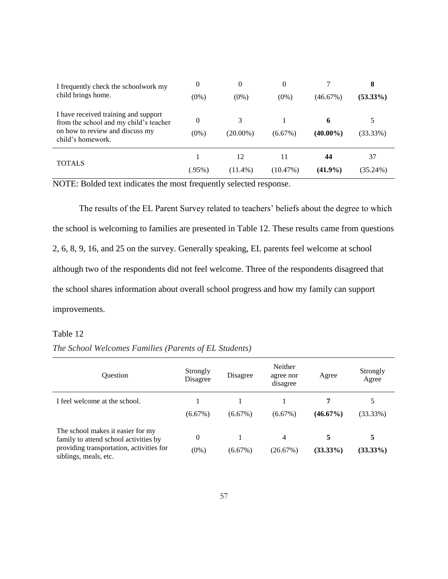| I frequently check the schoolwork my<br>child brings home.                     | 0       | $\theta$    | $\theta$ |             | 8           |
|--------------------------------------------------------------------------------|---------|-------------|----------|-------------|-------------|
|                                                                                | $(0\%)$ | $(0\%)$     | $(0\%)$  | (46.67%)    | $(53.33\%)$ |
| I have received training and support<br>from the school and my child's teacher | 0       |             |          | 6           |             |
| on how to review and discuss my<br>child's homework.                           | $(0\%)$ | $(20.00\%)$ | (6.67%)  | $(40.00\%)$ | (33.33%)    |
|                                                                                |         | 12          | 11       | 44          | 37          |
| <b>TOTALS</b>                                                                  | (.95%)  | $(11.4\%)$  | (10.47%) | $(41.9\%)$  | $(35.24\%)$ |

The results of the EL Parent Survey related to teachers' beliefs about the degree to which the school is welcoming to families are presented in Table 12. These results came from questions 2, 6, 8, 9, 16, and 25 on the survey. Generally speaking, EL parents feel welcome at school although two of the respondents did not feel welcome. Three of the respondents disagreed that the school shares information about overall school progress and how my family can support improvements.

#### Table 12

|  | The School Welcomes Families (Parents of EL Students) |  |  |
|--|-------------------------------------------------------|--|--|
|  |                                                       |  |  |

| <b>Ouestion</b>                                                            | Strongly<br>Disagree | Disagree   | Neither<br>agree nor<br>disagree | Agree       | Strongly<br>Agree |
|----------------------------------------------------------------------------|----------------------|------------|----------------------------------|-------------|-------------------|
| I feel welcome at the school.                                              |                      |            |                                  | 7           | 5                 |
|                                                                            | (6.67%)              | (6.67%)    | (6.67%)                          | $(46.67\%)$ | (33.33%)          |
| The school makes it easier for my<br>family to attend school activities by | $\theta$             |            | 4                                | 5           | 5                 |
| providing transportation, activities for<br>siblings, meals, etc.          | $(0\%)$              | $(6.67\%)$ | (26.67%)                         | $(33.33\%)$ | $(33.33\%)$       |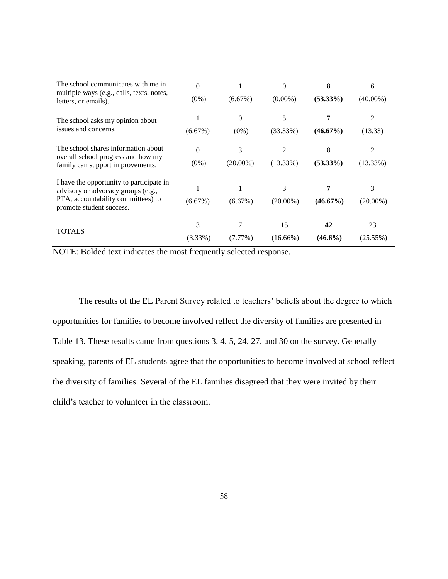| The school communicates with me in<br>multiple ways (e.g., calls, texts, notes, | $\Omega$   |             | 0           | 8           | 6           |
|---------------------------------------------------------------------------------|------------|-------------|-------------|-------------|-------------|
| letters, or emails).                                                            | $(0\%)$    | (6.67%)     | $(0.00\%)$  | $(53.33\%)$ | $(40.00\%)$ |
| The school asks my opinion about                                                |            | $\Omega$    | 5           |             | 2           |
| issues and concerns.                                                            | (6.67%)    | $(0\%)$     | $(33.33\%)$ | $(46.67\%)$ | (13.33)     |
| The school shares information about<br>overall school progress and how my       | $\Omega$   | 3           | 2           | 8           | 2           |
| family can support improvements.                                                | $(0\%)$    | $(20.00\%)$ | (13.33%)    | $(53.33\%)$ | (13.33%)    |
| I have the opportunity to participate in<br>advisory or advocacy groups (e.g.,  |            |             | 3           |             | 3           |
| PTA, accountability committees) to<br>promote student success.                  | (6.67%)    | (6.67%)     | $(20.00\%)$ | $(46.67\%)$ | $(20.00\%)$ |
| <b>TOTALS</b>                                                                   | 3          |             | 15          | 42          | 23          |
|                                                                                 | $(3.33\%)$ | $(7.77\%)$  | $(16.66\%)$ | $(46.6\%)$  | (25.55%)    |

The results of the EL Parent Survey related to teachers' beliefs about the degree to which opportunities for families to become involved reflect the diversity of families are presented in Table 13. These results came from questions 3, 4, 5, 24, 27, and 30 on the survey. Generally speaking, parents of EL students agree that the opportunities to become involved at school reflect the diversity of families. Several of the EL families disagreed that they were invited by their child's teacher to volunteer in the classroom.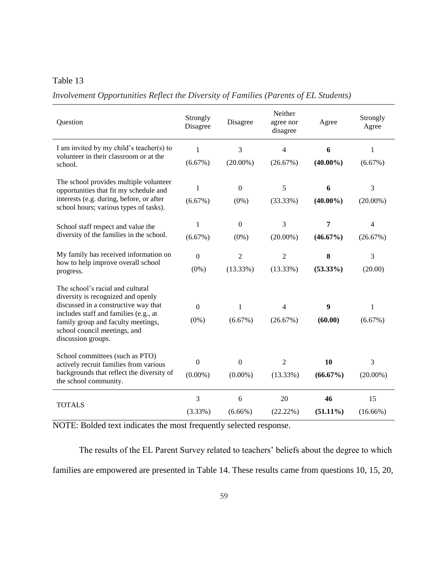## Table 13

*Involvement Opportunities Reflect the Diversity of Families (Parents of EL Students)*

| Question                                                                                                                                                                                                                                            | Strongly<br>Disagree           | Disagree                   | Neither<br>agree nor<br>disagree | Agree             | Strongly<br>Agree |
|-----------------------------------------------------------------------------------------------------------------------------------------------------------------------------------------------------------------------------------------------------|--------------------------------|----------------------------|----------------------------------|-------------------|-------------------|
| I am invited by my child's teacher(s) to                                                                                                                                                                                                            | $\mathbf{1}$                   | 3                          | 4                                | 6                 | 1                 |
| volunteer in their classroom or at the<br>school.                                                                                                                                                                                                   | (6.67%)                        | $(20.00\%)$                | (26.67%)                         | $(40.00\%)$       | (6.67%)           |
| The school provides multiple volunteer<br>opportunities that fit my schedule and                                                                                                                                                                    | $\mathbf{1}$                   | $\mathbf{0}$               | 5                                | 6                 | 3                 |
| interests (e.g. during, before, or after<br>school hours; various types of tasks).                                                                                                                                                                  | (6.67%)                        | $(0\%)$                    | (33.33%)                         | $(40.00\%)$       | $(20.00\%)$       |
| School staff respect and value the                                                                                                                                                                                                                  | 1                              | $\overline{0}$             | 3                                | 7                 | 4                 |
| diversity of the families in the school.                                                                                                                                                                                                            | (6.67%)                        | $(0\%)$                    | $(20.00\%)$                      | $(46.67\%)$       | (26.67%)          |
| My family has received information on                                                                                                                                                                                                               | $\boldsymbol{0}$               | $\overline{2}$             | $\overline{2}$                   | 8                 | 3                 |
| how to help improve overall school<br>progress.                                                                                                                                                                                                     | $(0\%)$                        | (13.33%)                   | (13.33%)                         | $(53.33\%)$       | (20.00)           |
| The school's racial and cultural<br>diversity is recognized and openly<br>discussed in a constructive way that<br>includes staff and families (e.g., at<br>family group and faculty meetings,<br>school council meetings, and<br>discussion groups. | $\boldsymbol{0}$<br>$(0\%)$    | 1<br>(6.67%)               | 4<br>(26.67%)                    | 9<br>(60.00)      | 1<br>(6.67%)      |
| School committees (such as PTO)<br>actively recruit families from various<br>backgrounds that reflect the diversity of<br>the school community.                                                                                                     | $\boldsymbol{0}$<br>$(0.00\%)$ | $\mathbf{0}$<br>$(0.00\%)$ | $\mathfrak{2}$<br>(13.33%)       | 10<br>$(66.67\%)$ | 3<br>$(20.00\%)$  |
| <b>TOTALS</b>                                                                                                                                                                                                                                       | 3<br>(3.33%)                   | 6<br>$(6.66\%)$            | 20<br>(22.22%)                   | 46<br>$(51.11\%)$ | 15<br>$(16.66\%)$ |

NOTE: Bolded text indicates the most frequently selected response.

The results of the EL Parent Survey related to teachers' beliefs about the degree to which families are empowered are presented in Table 14. These results came from questions 10, 15, 20,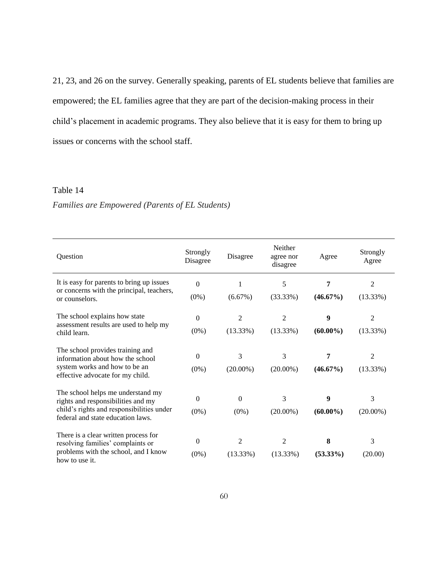21, 23, and 26 on the survey. Generally speaking, parents of EL students believe that families are empowered; the EL families agree that they are part of the decision-making process in their child's placement in academic programs. They also believe that it is easy for them to bring up issues or concerns with the school staff.

## Table 14

#### *Families are Empowered (Parents of EL Students)*

| Question                                                                                                                                                  | Strongly<br>Disagree | Disagree                      | Neither<br>agree nor<br>disagree | Agree            | Strongly<br>Agree          |  |
|-----------------------------------------------------------------------------------------------------------------------------------------------------------|----------------------|-------------------------------|----------------------------------|------------------|----------------------------|--|
| It is easy for parents to bring up issues<br>or concerns with the principal, teachers,<br>or counselors.                                                  | $\theta$<br>$(0\%)$  | (6.67%)                       | 5<br>(33.33%)                    | 7<br>$(46.67\%)$ | $\overline{2}$<br>(13.33%) |  |
| The school explains how state<br>assessment results are used to help my<br>child learn.                                                                   | $\Omega$<br>$(0\%)$  | $\overline{c}$<br>(13.33%)    | $\overline{c}$<br>(13.33%)       | 9<br>$(60.00\%)$ | 2<br>(13.33%)              |  |
| The school provides training and<br>information about how the school<br>system works and how to be an<br>effective advocate for my child.                 | $\Omega$<br>$(0\%)$  | 3<br>$(20.00\%)$              | 3<br>$(20.00\%)$                 | 7<br>$(46.67\%)$ | $\overline{c}$<br>(13.33%) |  |
| The school helps me understand my<br>rights and responsibilities and my<br>child's rights and responsibilities under<br>federal and state education laws. | $\Omega$<br>$(0\%)$  | $\Omega$<br>$(0\%)$           | 3<br>$(20.00\%)$                 | 9<br>$(60.00\%)$ | 3<br>$(20.00\%)$           |  |
| There is a clear written process for<br>resolving families' complaints or<br>problems with the school, and I know<br>how to use it.                       | $\theta$<br>$(0\%)$  | $\overline{2}$<br>$(13.33\%)$ | $\overline{c}$<br>$(13.33\%)$    | 8<br>$(53.33\%)$ | 3<br>(20.00)               |  |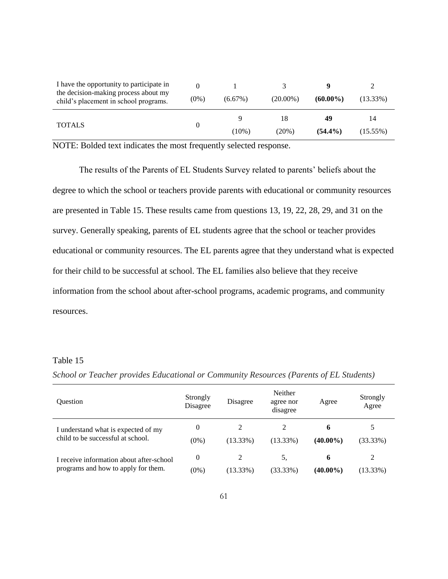| I have the opportunity to participate in                                      |         |            |                |                  |                   |  |
|-------------------------------------------------------------------------------|---------|------------|----------------|------------------|-------------------|--|
| the decision-making process about my<br>child's placement in school programs. | $(0\%)$ | $(6.67\%)$ | $(20.00\%)$    | $(60.00\%)$      | $(13.33\%)$       |  |
| <b>TOTALS</b>                                                                 |         | (10%)      | 18<br>$(20\%)$ | 49<br>$(54.4\%)$ | 14<br>$(15.55\%)$ |  |

The results of the Parents of EL Students Survey related to parents' beliefs about the degree to which the school or teachers provide parents with educational or community resources are presented in Table 15. These results came from questions 13, 19, 22, 28, 29, and 31 on the survey. Generally speaking, parents of EL students agree that the school or teacher provides educational or community resources. The EL parents agree that they understand what is expected for their child to be successful at school. The EL families also believe that they receive information from the school about after-school programs, academic programs, and community resources.

#### Table 15

| <b>Ouestion</b>                                                                 | Strongly<br>Disagree | Disagree    | Neither<br>agree nor<br>disagree | Agree            | Strongly<br>Agree |
|---------------------------------------------------------------------------------|----------------------|-------------|----------------------------------|------------------|-------------------|
| I understand what is expected of my<br>child to be successful at school.        | $\theta$<br>$(0\%)$  | $(13.33\%)$ | $(13.33\%)$                      | 6<br>$(40.00\%)$ | (33.33%)          |
| I receive information about after-school<br>programs and how to apply for them. | $\theta$<br>$(0\%)$  | (13.33%)    | 5.<br>(33.33%)                   | h<br>$(40.00\%)$ | 2<br>(13.33%)     |

*School or Teacher provides Educational or Community Resources (Parents of EL Students)*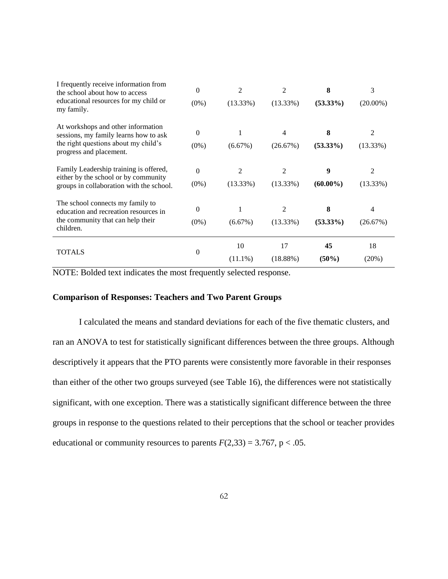| I frequently receive information from<br>the school about how to access<br>educational resources for my child or<br>my family.                 | $\theta$<br>$(0\%)$ | $\overline{2}$<br>(13.33%)    | 2<br>(13.33%)                 | 8<br>$(53.33\%)$ | 3<br>$(20.00\%)$ |  |
|------------------------------------------------------------------------------------------------------------------------------------------------|---------------------|-------------------------------|-------------------------------|------------------|------------------|--|
| At workshops and other information<br>sessions, my family learns how to ask<br>the right questions about my child's<br>progress and placement. | $\Omega$<br>$(0\%)$ | (6.67%)                       | 4<br>(26.67%)                 | 8<br>$(53.33\%)$ | 2<br>(13.33%)    |  |
| Family Leadership training is offered,<br>either by the school or by community<br>groups in collaboration with the school.                     | $\Omega$<br>$(0\%)$ | $\mathfrak{D}$<br>$(13.33\%)$ | $\mathfrak{D}$<br>$(13.33\%)$ | 9<br>$(60.00\%)$ | 2<br>$(13.33\%)$ |  |
| The school connects my family to<br>education and recreation resources in<br>the community that can help their<br>children.                    | $\Omega$<br>$(0\%)$ | 1<br>$(6.67\%)$               | 2<br>$(13.33\%)$              | 8<br>$(53.33\%)$ | 4<br>(26.67%)    |  |
| <b>TOTALS</b>                                                                                                                                  | $\overline{0}$      | 10<br>$(11.1\%)$              | 17<br>(18.88%)                | 45<br>(50%)      | 18<br>(20%)      |  |

#### **Comparison of Responses: Teachers and Two Parent Groups**

I calculated the means and standard deviations for each of the five thematic clusters, and ran an ANOVA to test for statistically significant differences between the three groups. Although descriptively it appears that the PTO parents were consistently more favorable in their responses than either of the other two groups surveyed (see Table 16), the differences were not statistically significant, with one exception. There was a statistically significant difference between the three groups in response to the questions related to their perceptions that the school or teacher provides educational or community resources to parents  $F(2,33) = 3.767$ , p < .05.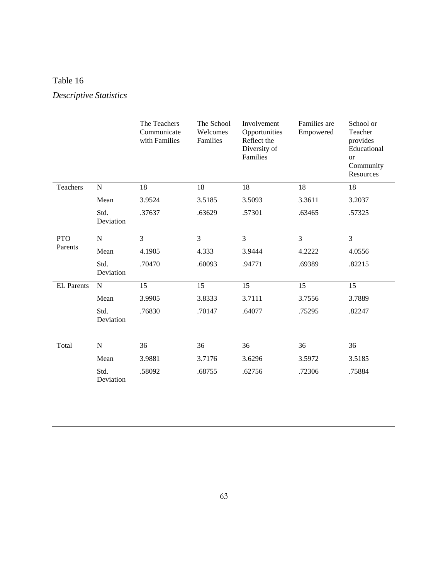## Table 16

# *Descriptive Statistics*

|                   |                   | The Teachers<br>Communicate<br>with Families | The School<br>Welcomes<br>Families | Involvement<br>Opportunities<br>Reflect the<br>Diversity of<br>Families | Families are<br>Empowered | School or<br>Teacher<br>provides<br>Educational<br><b>or</b><br>Community<br>Resources |
|-------------------|-------------------|----------------------------------------------|------------------------------------|-------------------------------------------------------------------------|---------------------------|----------------------------------------------------------------------------------------|
| Teachers          | $\mathbf N$       | 18                                           | 18                                 | $18\,$                                                                  | 18                        | 18                                                                                     |
|                   | Mean              | 3.9524                                       | 3.5185                             | 3.5093                                                                  | 3.3611                    | 3.2037                                                                                 |
|                   | Std.<br>Deviation | .37637                                       | .63629                             | .57301                                                                  | .63465                    | .57325                                                                                 |
| <b>PTO</b>        | ${\bf N}$         | $\overline{3}$                               | 3                                  | 3                                                                       | 3                         | 3                                                                                      |
| Parents           | Mean              | 4.1905                                       | 4.333                              | 3.9444                                                                  | 4.2222                    | 4.0556                                                                                 |
|                   | Std.<br>Deviation | .70470                                       | .60093                             | .94771                                                                  | .69389                    | .82215                                                                                 |
| <b>EL Parents</b> | ${\bf N}$         | 15                                           | 15                                 | 15                                                                      | 15                        | 15                                                                                     |
|                   | Mean              | 3.9905                                       | 3.8333                             | 3.7111                                                                  | 3.7556                    | 3.7889                                                                                 |
|                   | Std.<br>Deviation | .76830                                       | .70147                             | .64077                                                                  | .75295                    | .82247                                                                                 |
| Total             | $\mathbf N$       | 36                                           | 36                                 | 36                                                                      | 36                        | 36                                                                                     |
|                   | Mean              | 3.9881                                       | 3.7176                             | 3.6296                                                                  | 3.5972                    | 3.5185                                                                                 |
|                   | Std.<br>Deviation | .58092                                       | .68755                             | .62756                                                                  | .72306                    | .75884                                                                                 |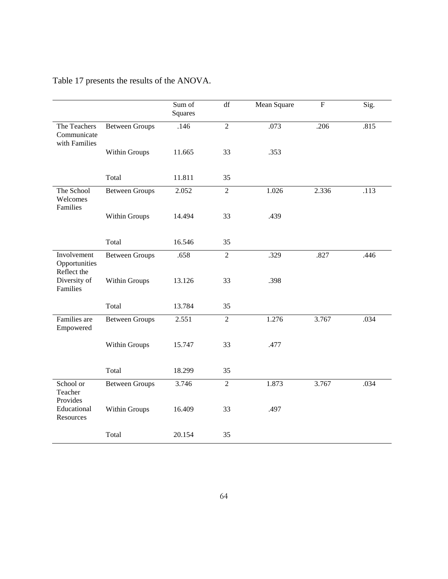|                                              |                       | Sum of<br>Squares | df             | Mean Square | ${\bf F}$ | Sig. |
|----------------------------------------------|-----------------------|-------------------|----------------|-------------|-----------|------|
| The Teachers<br>Communicate<br>with Families | <b>Between Groups</b> | .146              | $\overline{2}$ | .073        | .206      | .815 |
|                                              | Within Groups         | 11.665            | 33             | .353        |           |      |
|                                              | Total                 | 11.811            | 35             |             |           |      |
| The School<br>Welcomes<br>Families           | <b>Between Groups</b> | 2.052             | $\sqrt{2}$     | 1.026       | 2.336     | .113 |
|                                              | Within Groups         | 14.494            | 33             | .439        |           |      |
|                                              | Total                 | 16.546            | 35             |             |           |      |
| Involvement<br>Opportunities<br>Reflect the  | <b>Between Groups</b> | .658              | $\overline{2}$ | .329        | .827      | .446 |
| Diversity of<br>Families                     | Within Groups         | 13.126            | 33             | .398        |           |      |
|                                              | Total                 | 13.784            | 35             |             |           |      |
| Families are<br>Empowered                    | <b>Between Groups</b> | 2.551             | $\overline{2}$ | 1.276       | 3.767     | .034 |
|                                              | Within Groups         | 15.747            | 33             | .477        |           |      |
|                                              | Total                 | 18.299            | 35             |             |           |      |
| School or<br>Teacher<br>Provides             | <b>Between Groups</b> | 3.746             | $\overline{2}$ | 1.873       | 3.767     | .034 |
| Educational<br>Resources                     | Within Groups         | 16.409            | 33             | .497        |           |      |
|                                              | Total                 | 20.154            | 35             |             |           |      |

## Table 17 presents the results of the ANOVA.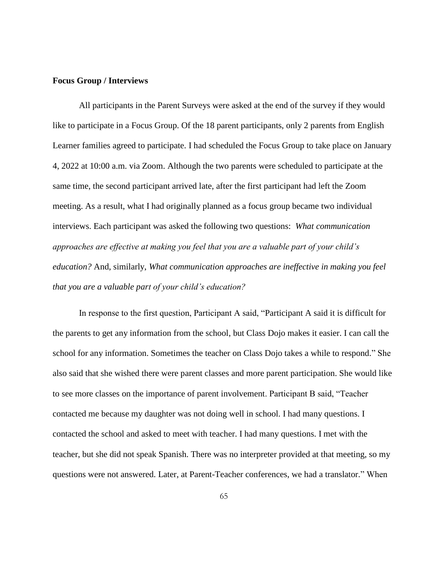#### **Focus Group / Interviews**

All participants in the Parent Surveys were asked at the end of the survey if they would like to participate in a Focus Group. Of the 18 parent participants, only 2 parents from English Learner families agreed to participate. I had scheduled the Focus Group to take place on January 4, 2022 at 10:00 a.m. via Zoom. Although the two parents were scheduled to participate at the same time, the second participant arrived late, after the first participant had left the Zoom meeting. As a result, what I had originally planned as a focus group became two individual interviews. Each participant was asked the following two questions: *What communication approaches are effective at making you feel that you are a valuable part of your child's education?* And, similarly, *What communication approaches are ineffective in making you feel that you are a valuable part of your child's education?*

In response to the first question, Participant A said, "Participant A said it is difficult for the parents to get any information from the school, but Class Dojo makes it easier. I can call the school for any information. Sometimes the teacher on Class Dojo takes a while to respond." She also said that she wished there were parent classes and more parent participation. She would like to see more classes on the importance of parent involvement. Participant B said, "Teacher contacted me because my daughter was not doing well in school. I had many questions. I contacted the school and asked to meet with teacher. I had many questions. I met with the teacher, but she did not speak Spanish. There was no interpreter provided at that meeting, so my questions were not answered. Later, at Parent-Teacher conferences, we had a translator." When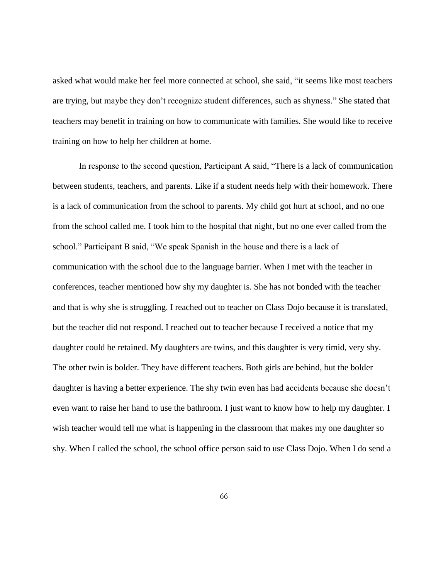asked what would make her feel more connected at school, she said, "it seems like most teachers are trying, but maybe they don't recognize student differences, such as shyness." She stated that teachers may benefit in training on how to communicate with families. She would like to receive training on how to help her children at home.

In response to the second question, Participant A said, "There is a lack of communication between students, teachers, and parents. Like if a student needs help with their homework. There is a lack of communication from the school to parents. My child got hurt at school, and no one from the school called me. I took him to the hospital that night, but no one ever called from the school." Participant B said, "We speak Spanish in the house and there is a lack of communication with the school due to the language barrier. When I met with the teacher in conferences, teacher mentioned how shy my daughter is. She has not bonded with the teacher and that is why she is struggling. I reached out to teacher on Class Dojo because it is translated, but the teacher did not respond. I reached out to teacher because I received a notice that my daughter could be retained. My daughters are twins, and this daughter is very timid, very shy. The other twin is bolder. They have different teachers. Both girls are behind, but the bolder daughter is having a better experience. The shy twin even has had accidents because she doesn't even want to raise her hand to use the bathroom. I just want to know how to help my daughter. I wish teacher would tell me what is happening in the classroom that makes my one daughter so shy. When I called the school, the school office person said to use Class Dojo. When I do send a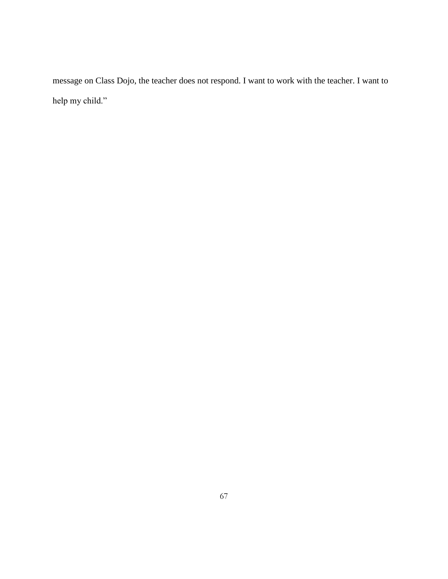message on Class Dojo, the teacher does not respond. I want to work with the teacher. I want to help my child."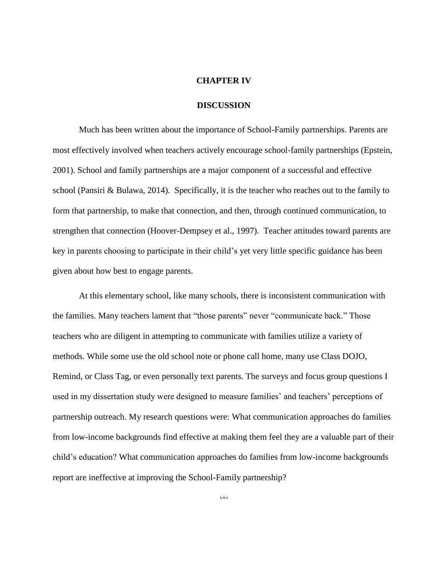#### **CHAPTER IV**

#### **DISCUSSION**

Much has been written about the importance of School-Family partnerships. Parents are most effectively involved when teachers actively encourage school-family partnerships (Epstein, 2001). School and family partnerships are a major component of a successful and effective school (Pansiri & Bulawa, 2014). Specifically, it is the teacher who reaches out to the family to form that partnership, to make that connection, and then, through continued communication, to strengthen that connection (Hoover-Dempsey et al., 1997). Teacher attitudes toward parents are key in parents choosing to participate in their child's yet very little specific guidance has been given about how best to engage parents.

At this elementary school, like many schools, there is inconsistent communication with the families. Many teachers lament that "those parents" never "communicate back." Those teachers who are diligent in attempting to communicate with families utilize a variety of methods. While some use the old school note or phone call home, many use Class DOJO, Remind, or Class Tag, or even personally text parents. The surveys and focus group questions I used in my dissertation study were designed to measure families' and teachers' perceptions of partnership outreach. My research questions were: What communication approaches do families from low-income backgrounds find effective at making them feel they are a valuable part of their child's education? What communication approaches do families from low-income backgrounds report are ineffective at improving the School-Family partnership?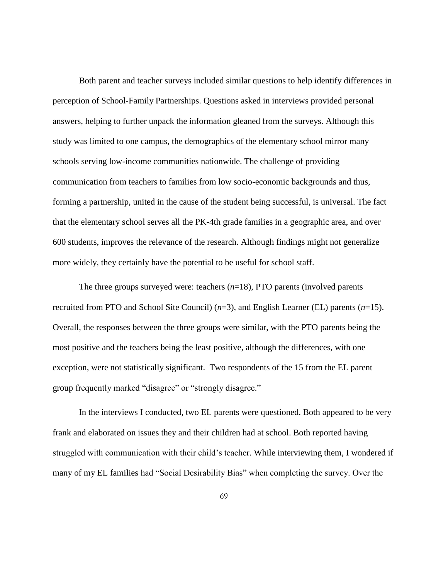Both parent and teacher surveys included similar questions to help identify differences in perception of School-Family Partnerships. Questions asked in interviews provided personal answers, helping to further unpack the information gleaned from the surveys. Although this study was limited to one campus, the demographics of the elementary school mirror many schools serving low-income communities nationwide. The challenge of providing communication from teachers to families from low socio-economic backgrounds and thus, forming a partnership, united in the cause of the student being successful, is universal. The fact that the elementary school serves all the PK-4th grade families in a geographic area, and over 600 students, improves the relevance of the research. Although findings might not generalize more widely, they certainly have the potential to be useful for school staff.

The three groups surveyed were: teachers  $(n=18)$ , PTO parents (involved parents recruited from PTO and School Site Council) (*n*=3), and English Learner (EL) parents (*n*=15). Overall, the responses between the three groups were similar, with the PTO parents being the most positive and the teachers being the least positive, although the differences, with one exception, were not statistically significant. Two respondents of the 15 from the EL parent group frequently marked "disagree" or "strongly disagree."

In the interviews I conducted, two EL parents were questioned. Both appeared to be very frank and elaborated on issues they and their children had at school. Both reported having struggled with communication with their child's teacher. While interviewing them, I wondered if many of my EL families had "Social Desirability Bias" when completing the survey. Over the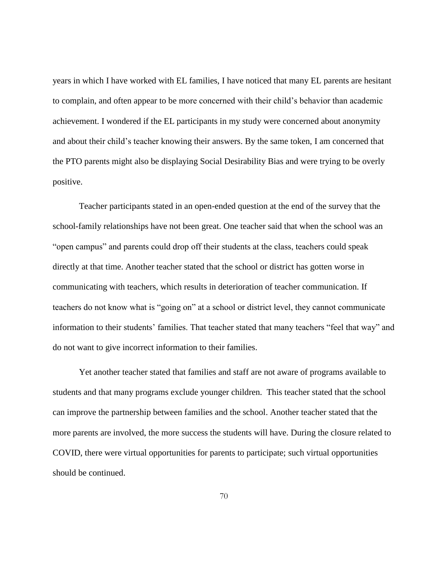years in which I have worked with EL families, I have noticed that many EL parents are hesitant to complain, and often appear to be more concerned with their child's behavior than academic achievement. I wondered if the EL participants in my study were concerned about anonymity and about their child's teacher knowing their answers. By the same token, I am concerned that the PTO parents might also be displaying Social Desirability Bias and were trying to be overly positive.

Teacher participants stated in an open-ended question at the end of the survey that the school-family relationships have not been great. One teacher said that when the school was an "open campus" and parents could drop off their students at the class, teachers could speak directly at that time. Another teacher stated that the school or district has gotten worse in communicating with teachers, which results in deterioration of teacher communication. If teachers do not know what is "going on" at a school or district level, they cannot communicate information to their students' families. That teacher stated that many teachers "feel that way" and do not want to give incorrect information to their families.

Yet another teacher stated that families and staff are not aware of programs available to students and that many programs exclude younger children. This teacher stated that the school can improve the partnership between families and the school. Another teacher stated that the more parents are involved, the more success the students will have. During the closure related to COVID, there were virtual opportunities for parents to participate; such virtual opportunities should be continued.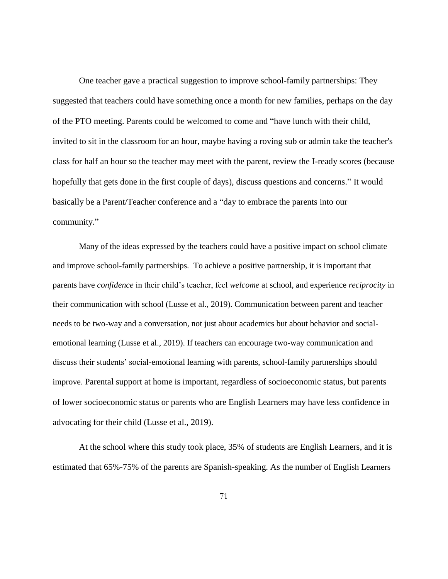One teacher gave a practical suggestion to improve school-family partnerships: They suggested that teachers could have something once a month for new families, perhaps on the day of the PTO meeting. Parents could be welcomed to come and "have lunch with their child, invited to sit in the classroom for an hour, maybe having a roving sub or admin take the teacher's class for half an hour so the teacher may meet with the parent, review the I-ready scores (because hopefully that gets done in the first couple of days), discuss questions and concerns." It would basically be a Parent/Teacher conference and a "day to embrace the parents into our community."

Many of the ideas expressed by the teachers could have a positive impact on school climate and improve school-family partnerships. To achieve a positive partnership, it is important that parents have *confidence* in their child's teacher, feel *welcome* at school, and experience *reciprocity* in their communication with school (Lusse et al., 2019). Communication between parent and teacher needs to be two-way and a conversation, not just about academics but about behavior and socialemotional learning (Lusse et al., 2019). If teachers can encourage two-way communication and discuss their students' social-emotional learning with parents, school-family partnerships should improve. Parental support at home is important, regardless of socioeconomic status, but parents of lower socioeconomic status or parents who are English Learners may have less confidence in advocating for their child (Lusse et al., 2019).

At the school where this study took place, 35% of students are English Learners, and it is estimated that 65%-75% of the parents are Spanish-speaking. As the number of English Learners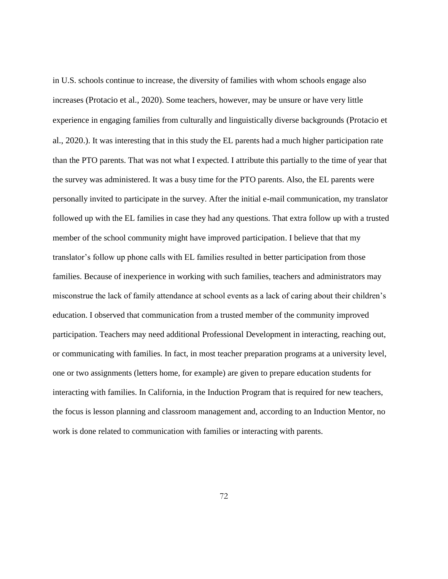in U.S. schools continue to increase, the diversity of families with whom schools engage also increases (Protacio et al., 2020). Some teachers, however, may be unsure or have very little experience in engaging families from culturally and linguistically diverse backgrounds (Protacio et al., 2020.). It was interesting that in this study the EL parents had a much higher participation rate than the PTO parents. That was not what I expected. I attribute this partially to the time of year that the survey was administered. It was a busy time for the PTO parents. Also, the EL parents were personally invited to participate in the survey. After the initial e-mail communication, my translator followed up with the EL families in case they had any questions. That extra follow up with a trusted member of the school community might have improved participation. I believe that that my translator's follow up phone calls with EL families resulted in better participation from those families. Because of inexperience in working with such families, teachers and administrators may misconstrue the lack of family attendance at school events as a lack of caring about their children's education. I observed that communication from a trusted member of the community improved participation. Teachers may need additional Professional Development in interacting, reaching out, or communicating with families. In fact, in most teacher preparation programs at a university level, one or two assignments (letters home, for example) are given to prepare education students for interacting with families. In California, in the Induction Program that is required for new teachers, the focus is lesson planning and classroom management and, according to an Induction Mentor, no work is done related to communication with families or interacting with parents.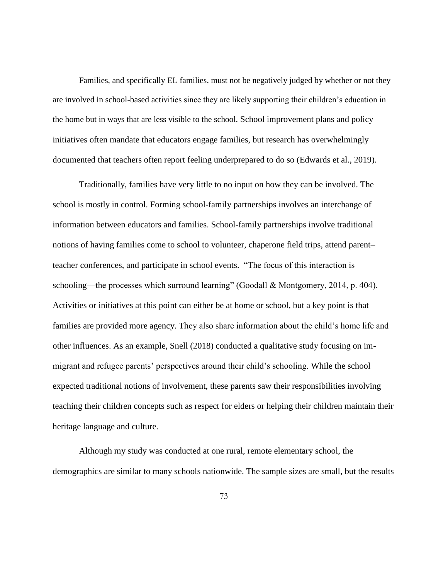Families, and specifically EL families, must not be negatively judged by whether or not they are involved in school-based activities since they are likely supporting their children's education in the home but in ways that are less visible to the school. School improvement plans and policy initiatives often mandate that educators engage families, but research has overwhelmingly documented that teachers often report feeling underprepared to do so (Edwards et al., 2019).

Traditionally, families have very little to no input on how they can be involved. The school is mostly in control. Forming school-family partnerships involves an interchange of information between educators and families. School-family partnerships involve traditional notions of having families come to school to volunteer, chaperone field trips, attend parent– teacher conferences, and participate in school events. "The focus of this interaction is schooling—the processes which surround learning" (Goodall & Montgomery, 2014, p. 404). Activities or initiatives at this point can either be at home or school, but a key point is that families are provided more agency. They also share information about the child's home life and other influences. As an example, Snell (2018) conducted a qualitative study focusing on immigrant and refugee parents' perspectives around their child's schooling. While the school expected traditional notions of involvement, these parents saw their responsibilities involving teaching their children concepts such as respect for elders or helping their children maintain their heritage language and culture.

Although my study was conducted at one rural, remote elementary school, the demographics are similar to many schools nationwide. The sample sizes are small, but the results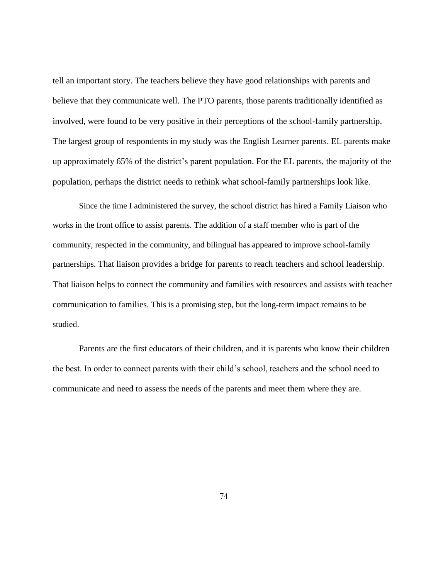tell an important story. The teachers believe they have good relationships with parents and believe that they communicate well. The PTO parents, those parents traditionally identified as involved, were found to be very positive in their perceptions of the school-family partnership. The largest group of respondents in my study was the English Learner parents. EL parents make up approximately 65% of the district's parent population. For the EL parents, the majority of the population, perhaps the district needs to rethink what school-family partnerships look like.

Since the time I administered the survey, the school district has hired a Family Liaison who works in the front office to assist parents. The addition of a staff member who is part of the community, respected in the community, and bilingual has appeared to improve school-family partnerships. That liaison provides a bridge for parents to reach teachers and school leadership. That liaison helps to connect the community and families with resources and assists with teacher communication to families. This is a promising step, but the long-term impact remains to be studied.

Parents are the first educators of their children, and it is parents who know their children the best. In order to connect parents with their child's school, teachers and the school need to communicate and need to assess the needs of the parents and meet them where they are.

74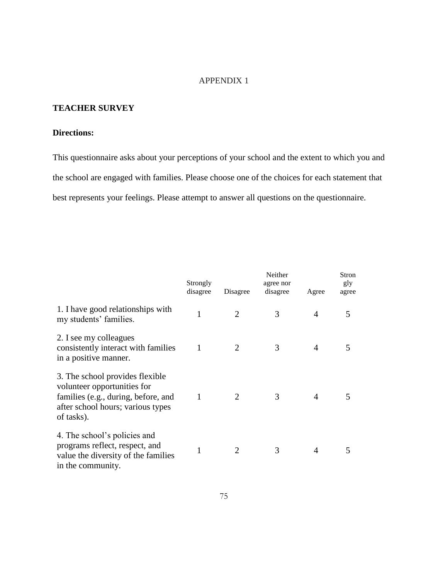## APPENDIX 1

## **TEACHER SURVEY**

## **Directions:**

This questionnaire asks about your perceptions of your school and the extent to which you and the school are engaged with families. Please choose one of the choices for each statement that best represents your feelings. Please attempt to answer all questions on the questionnaire.

|                                                                                                                                                          | Strongly<br>disagree | Disagree                    | Neither<br>agree nor<br>disagree | Agree          | Stron<br>gly<br>agree |
|----------------------------------------------------------------------------------------------------------------------------------------------------------|----------------------|-----------------------------|----------------------------------|----------------|-----------------------|
| 1. I have good relationships with<br>my students' families.                                                                                              | 1                    | $\overline{2}$              | 3                                | $\overline{A}$ | 5                     |
| 2. I see my colleagues<br>consistently interact with families<br>in a positive manner.                                                                   |                      | $\mathcal{D}_{\mathcal{A}}$ | 3                                | 4              |                       |
| 3. The school provides flexible<br>volunteer opportunities for<br>families (e.g., during, before, and<br>after school hours; various types<br>of tasks). | 1                    | $\mathcal{D}_{\cdot}$       | 3                                | 4              |                       |
| 4. The school's policies and<br>programs reflect, respect, and<br>value the diversity of the families<br>in the community.                               |                      |                             | 3                                | 4              |                       |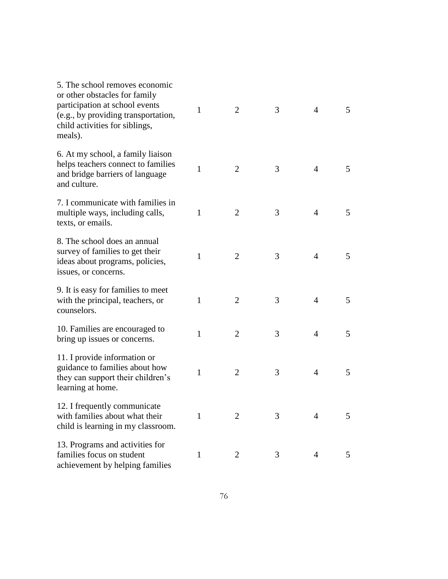| 5. The school removes economic<br>or other obstacles for family<br>participation at school events<br>(e.g., by providing transportation,<br>child activities for siblings,<br>meals). | $\mathbf{1}$ | $\overline{2}$ | 3 | $\overline{4}$ | 5 |
|---------------------------------------------------------------------------------------------------------------------------------------------------------------------------------------|--------------|----------------|---|----------------|---|
| 6. At my school, a family liaison<br>helps teachers connect to families<br>and bridge barriers of language<br>and culture.                                                            | $\mathbf{1}$ | $\overline{2}$ | 3 | $\overline{4}$ | 5 |
| 7. I communicate with families in<br>multiple ways, including calls,<br>texts, or emails.                                                                                             | $\mathbf{1}$ | $\overline{2}$ | 3 | $\overline{4}$ | 5 |
| 8. The school does an annual<br>survey of families to get their<br>ideas about programs, policies,<br>issues, or concerns.                                                            | 1            | $\overline{2}$ | 3 | $\overline{4}$ | 5 |
| 9. It is easy for families to meet<br>with the principal, teachers, or<br>counselors.                                                                                                 | 1            | $\overline{2}$ | 3 | $\overline{4}$ | 5 |
| 10. Families are encouraged to<br>bring up issues or concerns.                                                                                                                        | $\mathbf{1}$ | $\overline{2}$ | 3 | $\overline{4}$ | 5 |
| 11. I provide information or<br>guidance to families about how<br>they can support their children's<br>learning at home.                                                              | $\mathbf{1}$ | $\overline{2}$ | 3 | $\overline{4}$ | 5 |
| 12. I frequently communicate<br>with families about what their<br>child is learning in my classroom.                                                                                  | 1            | 2              | 3 | $\overline{4}$ | 5 |
| 13. Programs and activities for<br>families focus on student<br>achievement by helping families                                                                                       | $\mathbf{1}$ | $\overline{2}$ | 3 | 4              | 5 |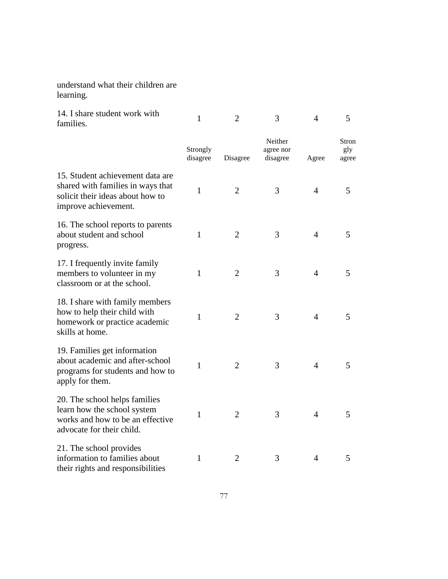understand what their children are learning.

| 14. I share student work with<br>families.                                                                                        | $\mathbf{1}$         | $\overline{2}$ | 3                                | 4              | 5                     |
|-----------------------------------------------------------------------------------------------------------------------------------|----------------------|----------------|----------------------------------|----------------|-----------------------|
|                                                                                                                                   | Strongly<br>disagree | Disagree       | Neither<br>agree nor<br>disagree | Agree          | Stron<br>gly<br>agree |
| 15. Student achievement data are<br>shared with families in ways that<br>solicit their ideas about how to<br>improve achievement. | $\mathbf{1}$         | $\overline{2}$ | 3                                | $\overline{4}$ | 5                     |
| 16. The school reports to parents<br>about student and school<br>progress.                                                        | $\mathbf{1}$         | $\overline{2}$ | 3                                | $\overline{4}$ | 5                     |
| 17. I frequently invite family<br>members to volunteer in my<br>classroom or at the school.                                       | $\mathbf{1}$         | $\overline{2}$ | 3                                | $\overline{4}$ | 5                     |
| 18. I share with family members<br>how to help their child with<br>homework or practice academic<br>skills at home.               | $\mathbf{1}$         | 2              | 3                                | $\overline{4}$ | 5                     |
| 19. Families get information<br>about academic and after-school<br>programs for students and how to<br>apply for them.            | 1                    | $\overline{2}$ | 3                                | $\overline{4}$ | 5                     |
| 20. The school helps families<br>learn how the school system<br>works and how to be an effective<br>advocate for their child.     | $\mathbf{1}$         | 2              | 3                                | $\overline{4}$ | 5                     |
| 21. The school provides<br>information to families about<br>their rights and responsibilities                                     | $\mathbf{1}$         | $\overline{2}$ | 3                                | $\overline{4}$ | 5                     |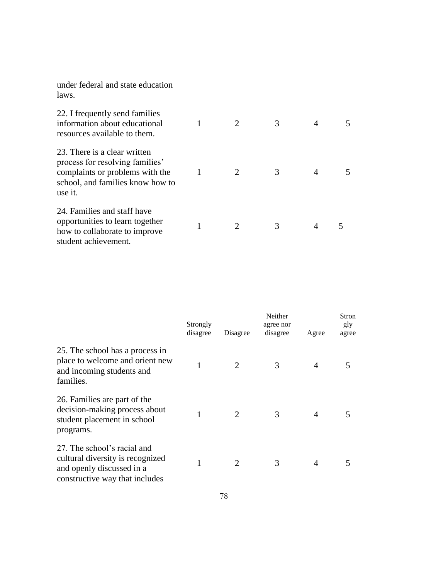under federal and state education laws.

| 22. I frequently send families<br>information about educational<br>resources available to them.                                                   | 2                           | 3 |  |
|---------------------------------------------------------------------------------------------------------------------------------------------------|-----------------------------|---|--|
| 23. There is a clear written<br>process for resolving families'<br>complaints or problems with the<br>school, and families know how to<br>use it. | $\mathcal{D}_{\mathcal{L}}$ | 3 |  |
| 24. Families and staff have<br>opportunities to learn together<br>how to collaborate to improve<br>student achievement.                           | $\mathcal{D}_{\mathcal{L}}$ | 3 |  |

|                                                                                                                                | Strongly<br>disagree | Disagree | Neither<br>agree nor<br>disagree | Agree | Stron<br>gly<br>agree |
|--------------------------------------------------------------------------------------------------------------------------------|----------------------|----------|----------------------------------|-------|-----------------------|
| 25. The school has a process in<br>place to welcome and orient new<br>and incoming students and<br>families.                   | 1                    | 2        | 3                                | 4     | 5                     |
| 26. Families are part of the<br>decision-making process about<br>student placement in school<br>programs.                      |                      |          | 3                                | 4     | 5                     |
| 27. The school's racial and<br>cultural diversity is recognized<br>and openly discussed in a<br>constructive way that includes |                      | 2        | 3                                | 4     | 5                     |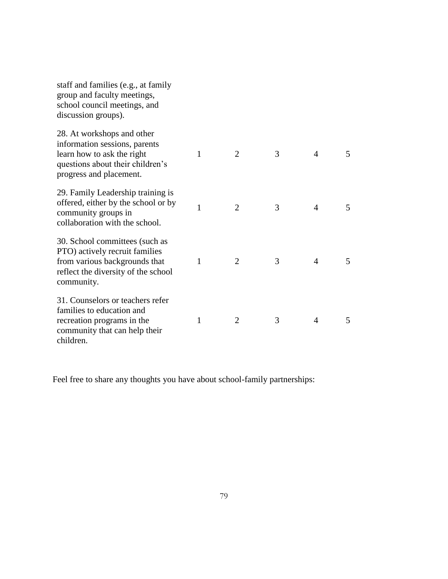| staff and families (e.g., at family<br>group and faculty meetings,<br>school council meetings, and<br>discussion groups).                                |   |                |   |                |   |
|----------------------------------------------------------------------------------------------------------------------------------------------------------|---|----------------|---|----------------|---|
| 28. At workshops and other<br>information sessions, parents<br>learn how to ask the right<br>questions about their children's<br>progress and placement. | 1 | $\overline{2}$ | 3 | $\overline{4}$ | 5 |
| 29. Family Leadership training is<br>offered, either by the school or by<br>community groups in<br>collaboration with the school.                        | 1 | $\overline{2}$ | 3 | 4              | 5 |
| 30. School committees (such as<br>PTO) actively recruit families<br>from various backgrounds that<br>reflect the diversity of the school<br>community.   | 1 | $\overline{2}$ | 3 | 4              | 5 |
| 31. Counselors or teachers refer<br>families to education and<br>recreation programs in the<br>community that can help their<br>children.                | 1 | $\overline{2}$ | 3 | $\overline{4}$ | 5 |

Feel free to share any thoughts you have about school-family partnerships: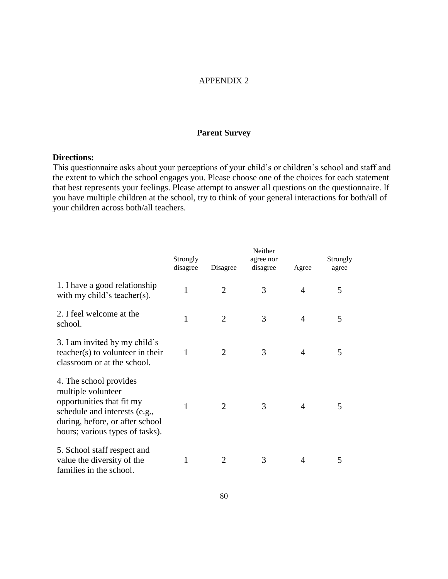## APPENDIX 2

## **Parent Survey**

## **Directions:**

This questionnaire asks about your perceptions of your child's or children's school and staff and the extent to which the school engages you. Please choose one of the choices for each statement that best represents your feelings. Please attempt to answer all questions on the questionnaire. If you have multiple children at the school, try to think of your general interactions for both/all of your children across both/all teachers.

|                                                                                                                                                                                  | Strongly<br>disagree | Disagree       | Neither<br>agree nor<br>disagree | Agree          | Strongly<br>agree |
|----------------------------------------------------------------------------------------------------------------------------------------------------------------------------------|----------------------|----------------|----------------------------------|----------------|-------------------|
| 1. I have a good relationship<br>with my child's teacher(s).                                                                                                                     | $\mathbf{1}$         | $\overline{2}$ | 3                                | $\overline{4}$ | 5                 |
| 2. I feel welcome at the<br>school.                                                                                                                                              | 1                    | 2              | 3                                | $\overline{4}$ | 5                 |
| 3. I am invited by my child's<br>teacher(s) to volunteer in their<br>classroom or at the school.                                                                                 | 1                    | 2              | 3                                | $\overline{A}$ | 5                 |
| 4. The school provides<br>multiple volunteer<br>opportunities that fit my<br>schedule and interests (e.g.,<br>during, before, or after school<br>hours; various types of tasks). | 1                    | $\overline{2}$ | 3                                | $\overline{A}$ | 5                 |
| 5. School staff respect and<br>value the diversity of the<br>families in the school.                                                                                             | 1                    | 2              | 3                                | $\overline{A}$ | 5                 |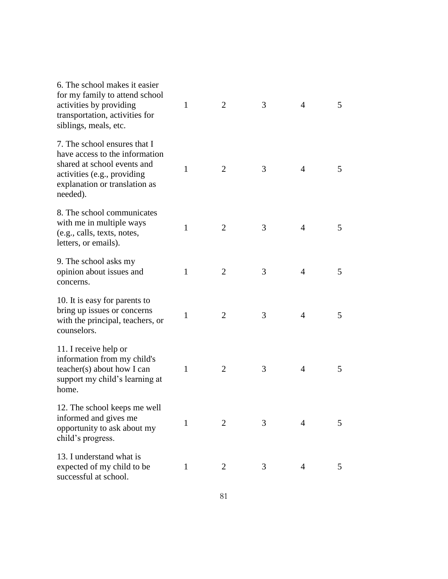| 6. The school makes it easier<br>for my family to attend school<br>activities by providing<br>transportation, activities for<br>siblings, meals, etc.                     | $\mathbf{1}$ | $\overline{2}$ | 3 | $\overline{4}$ | 5 |
|---------------------------------------------------------------------------------------------------------------------------------------------------------------------------|--------------|----------------|---|----------------|---|
| 7. The school ensures that I<br>have access to the information<br>shared at school events and<br>activities (e.g., providing<br>explanation or translation as<br>needed). | $\mathbf{1}$ | $\overline{2}$ | 3 | 4              | 5 |
| 8. The school communicates<br>with me in multiple ways<br>(e.g., calls, texts, notes,<br>letters, or emails).                                                             | $\mathbf{1}$ | $\overline{2}$ | 3 | $\overline{4}$ | 5 |
| 9. The school asks my<br>opinion about issues and<br>concerns.                                                                                                            | 1            | $\overline{2}$ | 3 | 4              | 5 |
| 10. It is easy for parents to<br>bring up issues or concerns<br>with the principal, teachers, or<br>counselors.                                                           | 1            | $\overline{2}$ | 3 | 4              | 5 |
| 11. I receive help or<br>information from my child's<br>teacher(s) about how I can<br>support my child's learning at<br>home.                                             | 1            | $\overline{2}$ | 3 | 4              | 5 |
| 12. The school keeps me well<br>informed and gives me<br>opportunity to ask about my<br>child's progress.                                                                 | 1            | 2              | 3 | 4              | 5 |
| 13. I understand what is<br>expected of my child to be<br>successful at school.                                                                                           | $\mathbf{1}$ | $\overline{2}$ | 3 | $\overline{4}$ | 5 |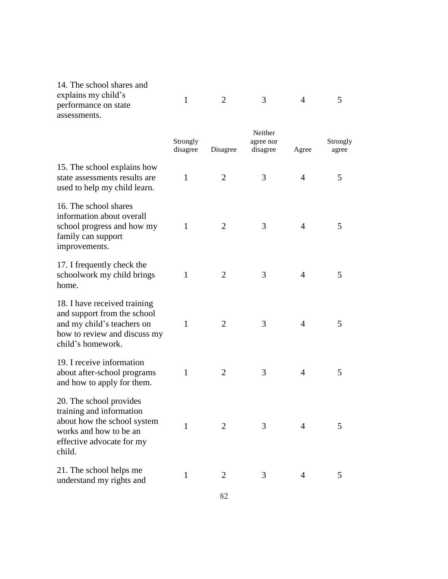| 14. The school shares and<br>explains my child's<br>performance on state<br>assessments.                                                            | 1                    | $\overline{2}$ | 3                                | 4     | 5                 |
|-----------------------------------------------------------------------------------------------------------------------------------------------------|----------------------|----------------|----------------------------------|-------|-------------------|
|                                                                                                                                                     | Strongly<br>disagree | Disagree       | Neither<br>agree nor<br>disagree | Agree | Strongly<br>agree |
| 15. The school explains how<br>state assessments results are<br>used to help my child learn.                                                        | 1                    | $\overline{2}$ | 3                                | 4     | 5                 |
| 16. The school shares<br>information about overall<br>school progress and how my<br>family can support<br>improvements.                             | $\mathbf{1}$         | 2              | 3                                | 4     | 5                 |
| 17. I frequently check the<br>schoolwork my child brings<br>home.                                                                                   | 1                    | $\overline{2}$ | 3                                | 4     | 5                 |
| 18. I have received training<br>and support from the school<br>and my child's teachers on<br>how to review and discuss my<br>child's homework.      | 1                    | $\overline{2}$ | 3                                | 4     | 5                 |
| 19. I receive information<br>about after-school programs<br>and how to apply for them.                                                              | 1                    | $\overline{2}$ | 3                                | 4     | 5                 |
| 20. The school provides<br>training and information<br>about how the school system<br>works and how to be an<br>effective advocate for my<br>child. | $\mathbf{1}$         | $\overline{2}$ | 3                                | 4     | 5                 |
| 21. The school helps me<br>understand my rights and                                                                                                 | $\mathbf{1}$         | 2              | 3                                | 4     | 5                 |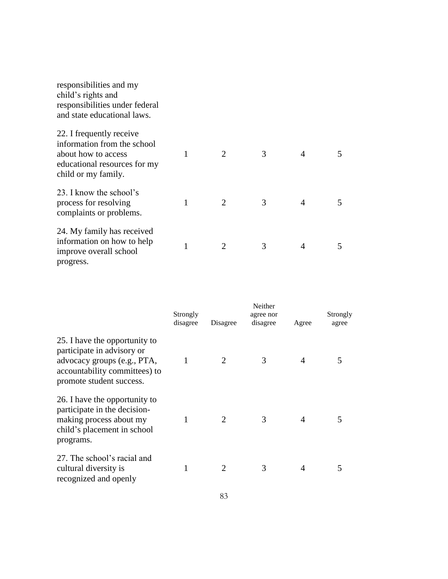| responsibilities and my<br>child's rights and<br>responsibilities under federal<br>and state educational laws.                        |   |   |   |   |   |
|---------------------------------------------------------------------------------------------------------------------------------------|---|---|---|---|---|
| 22. I frequently receive<br>information from the school<br>about how to access<br>educational resources for my<br>child or my family. | 1 | 2 | 3 | 4 | 5 |
| 23. I know the school's<br>process for resolving<br>complaints or problems.                                                           |   |   | 3 | 4 | 5 |
| 24. My family has received<br>information on how to help<br>improve overall school<br>progress.                                       | 1 | 2 | 3 | 4 | 5 |

|                                                                                                                                                         | Strongly<br>disagree | Disagree | Neither<br>agree nor<br>disagree | Agree | Strongly<br>agree |
|---------------------------------------------------------------------------------------------------------------------------------------------------------|----------------------|----------|----------------------------------|-------|-------------------|
| 25. I have the opportunity to<br>participate in advisory or<br>advocacy groups (e.g., PTA,<br>accountability committees) to<br>promote student success. | 1                    |          | 3                                |       |                   |
| 26. I have the opportunity to<br>participate in the decision-<br>making process about my<br>child's placement in school<br>programs.                    |                      | 2        | 3                                | 4     |                   |
| 27. The school's racial and<br>cultural diversity is<br>recognized and openly                                                                           |                      |          | 3                                |       |                   |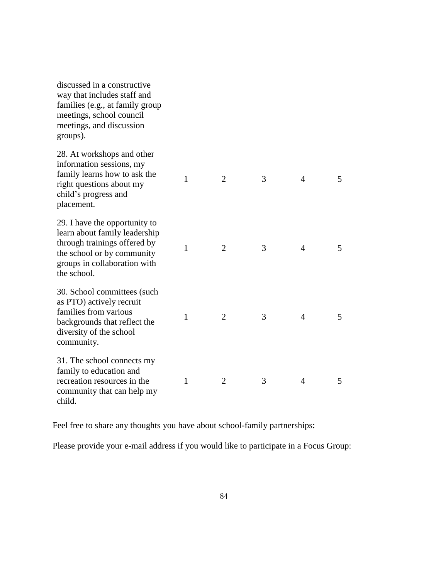| discussed in a constructive<br>way that includes staff and<br>families (e.g., at family group<br>meetings, school council<br>meetings, and discussion<br>groups).           |              |                |   |                |   |
|-----------------------------------------------------------------------------------------------------------------------------------------------------------------------------|--------------|----------------|---|----------------|---|
| 28. At workshops and other<br>information sessions, my<br>family learns how to ask the<br>right questions about my<br>child's progress and<br>placement.                    | 1            | $\overline{2}$ | 3 | $\overline{4}$ | 5 |
| 29. I have the opportunity to<br>learn about family leadership<br>through trainings offered by<br>the school or by community<br>groups in collaboration with<br>the school. | $\mathbf{1}$ | $\overline{2}$ | 3 | 4              | 5 |
| 30. School committees (such<br>as PTO) actively recruit<br>families from various<br>backgrounds that reflect the<br>diversity of the school<br>community.                   | 1            | $\overline{2}$ | 3 | $\overline{4}$ | 5 |
| 31. The school connects my<br>family to education and<br>recreation resources in the<br>community that can help my<br>child.                                                | 1            | $\overline{2}$ | 3 | 4              | 5 |

Feel free to share any thoughts you have about school-family partnerships:

Please provide your e-mail address if you would like to participate in a Focus Group: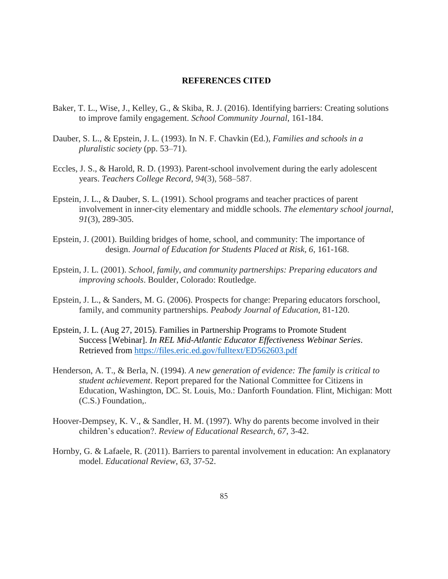## **REFERENCES CITED**

- Baker, T. L., Wise, J., Kelley, G., & Skiba, R. J. (2016). Identifying barriers: Creating solutions to improve family engagement. *School Community Journal*, 161-184.
- Dauber, S. L., & Epstein, J. L. (1993). In N. F. Chavkin (Ed.), *Families and schools in a pluralistic society* (pp. 53–71).
- Eccles, J. S., & Harold, R. D. (1993). Parent-school involvement during the early adolescent years. *Teachers College Record*, *94*(3), 568–587.
- Epstein, J. L., & Dauber, S. L. (1991). School programs and teacher practices of parent involvement in inner-city elementary and middle schools. *The elementary school journal*, *91*(3), 289-305.
- Epstein, J. (2001). Building bridges of home, school, and community: The importance of design. *Journal of Education for Students Placed at Risk, 6, 161-168.*
- Epstein, J. L. (2001). *School, family, and community partnerships: Preparing educators and improving schools*. Boulder, Colorado: Routledge.
- Epstein, J. L., & Sanders, M. G. (2006). Prospects for change: Preparing educators forschool, family, and community partnerships. *Peabody Journal of Education*, 81-120.
- Epstein, J. L. (Aug 27, 2015). Families in Partnership Programs to Promote Student Success [Webinar]. *In REL Mid-Atlantic Educator Effectiveness Webinar Series*. Retrieved from <https://files.eric.ed.gov/fulltext/ED562603.pdf>
- Henderson, A. T., & Berla, N. (1994). *A new generation of evidence: The family is critical to student achievement*. Report prepared for the National Committee for Citizens in Education, Washington, DC. St. Louis, Mo.: Danforth Foundation. Flint, Michigan: Mott (C.S.) Foundation,.
- Hoover-Dempsey, K. V., & Sandler, H. M. (1997). Why do parents become involved in their children's education?. *Review of Educational Research*, *67*, 3-42.
- Hornby, G. & Lafaele, R. (2011). Barriers to parental involvement in education: An explanatory model. *Educational Review*, *63*, 37-52.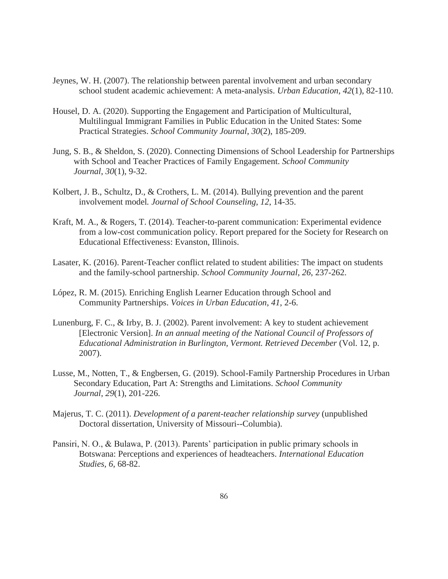- Jeynes, W. H. (2007). The relationship between parental involvement and urban secondary school student academic achievement: A meta-analysis. *Urban Education*, *42*(1), 82-110.
- Housel, D. A. (2020). Supporting the Engagement and Participation of Multicultural, Multilingual Immigrant Families in Public Education in the United States: Some Practical Strategies. *School Community Journal*, *30*(2), 185-209.
- Jung, S. B., & Sheldon, S. (2020). Connecting Dimensions of School Leadership for Partnerships with School and Teacher Practices of Family Engagement. *School Community Journal*, *30*(1), 9-32.
- Kolbert, J. B., Schultz, D., & Crothers, L. M. (2014). Bullying prevention and the parent involvement model*. Journal of School Counseling*, *12*, 14-35.
- Kraft, M. A., & Rogers, T. (2014). Teacher-to-parent communication: Experimental evidence from a low-cost communication policy. Report prepared for the Society for Research on Educational Effectiveness: Evanston, Illinois.
- Lasater, K. (2016). Parent-Teacher conflict related to student abilities: The impact on students and the family-school partnership. *School Community Journal*, *26*, 237-262.
- López, R. M. (2015). Enriching English Learner Education through School and Community Partnerships. *Voices in Urban Education*, *41*, 2-6.
- Lunenburg, F. C., & Irby, B. J. (2002). Parent involvement: A key to student achievement [Electronic Version]. *In an annual meeting of the National Council of Professors of Educational Administration in Burlington, Vermont. Retrieved December* (Vol. 12, p. 2007).
- Lusse, M., Notten, T., & Engbersen, G. (2019). School-Family Partnership Procedures in Urban Secondary Education, Part A: Strengths and Limitations. *School Community Journal*, *29*(1), 201-226.
- Majerus, T. C. (2011). *Development of a parent-teacher relationship survey* (unpublished Doctoral dissertation, University of Missouri--Columbia).
- Pansiri, N. O., & Bulawa, P. (2013). Parents' participation in public primary schools in Botswana: Perceptions and experiences of headteachers. *International Education Studies, 6*, 68-82.